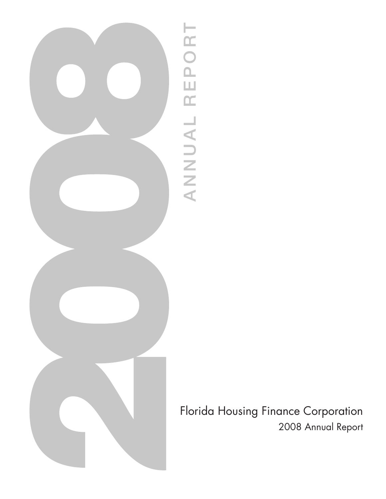

ANNUAL REPORT ANNUAL REPORT

Florida Housing Finance Corporation 2008 Annual Report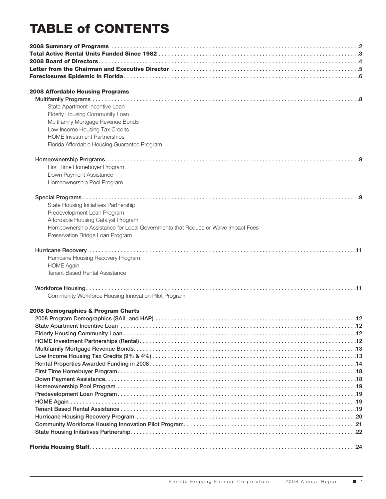# TABLE of CONTENTS

| 2008 Affordable Housing Programs                                                |  |
|---------------------------------------------------------------------------------|--|
|                                                                                 |  |
| State Apartment Incentive Loan                                                  |  |
| Elderly Housing Community Loan                                                  |  |
| Multifamily Mortgage Revenue Bonds                                              |  |
| Low Income Housing Tax Credits                                                  |  |
| <b>HOME Investment Partnerships</b>                                             |  |
| Florida Affordable Housing Guarantee Program                                    |  |
|                                                                                 |  |
|                                                                                 |  |
| First Time Homebuyer Program                                                    |  |
| Down Payment Assistance                                                         |  |
| Homeownership Pool Program                                                      |  |
|                                                                                 |  |
|                                                                                 |  |
| State Housing Initiatives Partnership                                           |  |
| Predevelopment Loan Program                                                     |  |
| Affordable Housing Catalyst Program                                             |  |
| Homeownership Assistance for Local Governments that Reduce or Waive Impact Fees |  |
| Preservation Bridge Loan Program                                                |  |
|                                                                                 |  |
|                                                                                 |  |
| Hurricane Housing Recovery Program                                              |  |
| <b>HOME Again</b>                                                               |  |
| <b>Tenant Based Rental Assistance</b>                                           |  |
|                                                                                 |  |
|                                                                                 |  |
| Community Workforce Housing Innovation Pilot Program                            |  |
|                                                                                 |  |
| 2008 Demographics & Program Charts                                              |  |
|                                                                                 |  |
|                                                                                 |  |
|                                                                                 |  |
|                                                                                 |  |
|                                                                                 |  |
|                                                                                 |  |
|                                                                                 |  |
|                                                                                 |  |
|                                                                                 |  |
|                                                                                 |  |
|                                                                                 |  |
|                                                                                 |  |
|                                                                                 |  |
|                                                                                 |  |
|                                                                                 |  |
|                                                                                 |  |
|                                                                                 |  |
|                                                                                 |  |
|                                                                                 |  |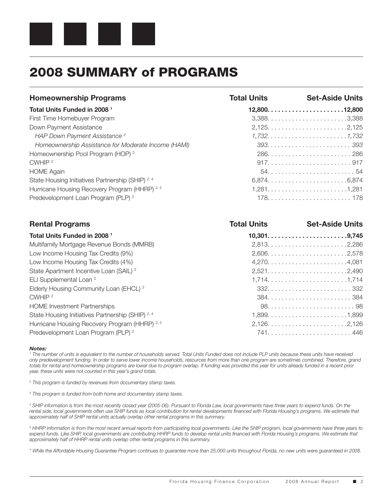

## 2008 SUMMARY of PROGRAMS

| <b>Homeownership Programs</b>                       | <b>Total Units</b> | <b>Set-Aside Units</b> |
|-----------------------------------------------------|--------------------|------------------------|
| Total Units Funded in 2008 <sup>1</sup>             |                    | $12,800$ 12,800        |
| First Time Homebuyer Program                        |                    |                        |
| Down Payment Assistance                             |                    |                        |
| HAP Down Payment Assistance <sup>2</sup>            |                    |                        |
| Homeownership Assistance for Moderate Income (HAMI) |                    |                        |
| Homeownership Pool Program (HOP) <sup>3</sup>       |                    |                        |
| CWHIP <sup>2</sup>                                  |                    |                        |
| <b>HOME Again</b>                                   |                    |                        |
| State Housing Initiatives Partnership (SHIP) 2, 4   |                    |                        |
| Hurricane Housing Recovery Program (HHRP) 2, 5      |                    |                        |
| Predevelopment Loan Program (PLP) <sup>2</sup>      |                    |                        |
| <b>Rental Programs</b>                              | <b>Total Units</b> | <b>Set-Aside Units</b> |
| Total Units Funded in 2008 <sup>1</sup>             |                    |                        |
| Multifamily Mortgage Revenue Bonds (MMRB)           |                    |                        |
| Low Income Housing Tax Credits (9%)                 |                    |                        |
| Low Income Housing Tax Credits (4%)                 |                    |                        |
| State Apartment Incentive Loan (SAIL) <sup>2</sup>  |                    |                        |
| ELI Supplemental Loan <sup>2</sup>                  |                    | 1,7141,714             |
| Elderly Housing Community Loan (EHCL) <sup>2</sup>  |                    |                        |
| CWHIP <sup>2</sup>                                  |                    |                        |
| <b>HOME Investment Partnerships</b>                 |                    |                        |
| State Housing Initiatives Partnership (SHIP) 2, 4   |                    |                        |
| Hurricane Housing Recovery Program (HHRP) 2, 5      |                    |                        |
| Predevelopment Loan Program (PLP) <sup>2</sup>      |                    |                        |

### *Notes:*

<sup>1</sup> The number of units is equivalent to the number of households served. Total Units Funded does not include PLP units because these units have received *only predevelopment funding. In order to serve lower income households, resources from more than one program are sometimes combined. Therefore, grand*  totals for rental and homeownership programs are lower due to program overlap. If funding was provided this year for units already funded in a recent prior *year, these units were not counted in this year's grand totals.*

*2 This program is funded by revenues from documentary stamp taxes.*

*3 This program is funded from both home and documentary stamp taxes.*

*4 SHIP information is from the most recently closed year (2005-06). Pursuant to Florida Law, local governments have three years to expend funds. On the rental side, local governments often use SHIP funds as local contribution for rental developments financed with Florida Housing's programs. We estimate that approximately half of SHIP rental units actually overlap other rental programs in this summary.*

*5 HHRP information is from the most recent annual reports from participating local governments. Like the SHIP program, local governments have three years to*  expend funds. Like SHIP, local governments are contributing HHRP funds to develop rental units financed with Florida Housing's programs. We estimate that *approximately half of HHRP rental units overlap other rental programs in this summary.*

*\* While the Affordable Housing Guarantee Program continues to guarantee more than 25,000 units throughout Florida, no new units were guaranteed in 2008.*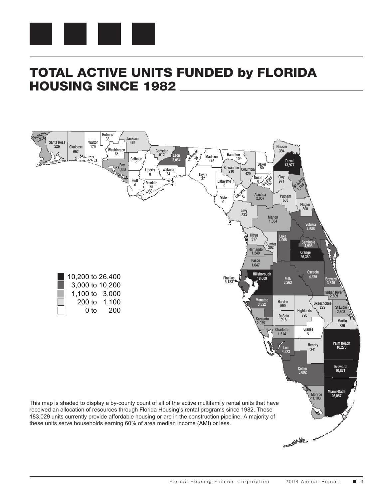

## TOTAL ACTIVE UNITS FUNDED by FLORIDA HOUSING SINCE 1982

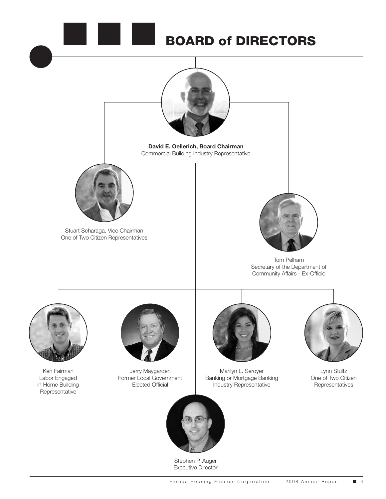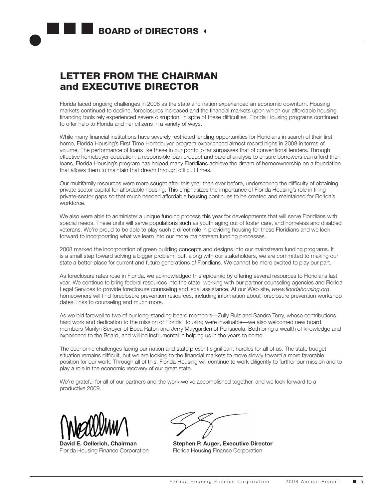## LETTER FROM THE CHAIRMAN and EXECUTIVE DIRECTOR

Florida faced ongoing challenges in 2008 as the state and nation experienced an economic downturn. Housing markets continued to decline, foreclosures increased and the financial markets upon which our affordable housing financing tools rely experienced severe disruption. In spite of these difficulties, Florida Housing programs continued to offer help to Florida and her citizens in a variety of ways.

While many financial institutions have severely restricted lending opportunities for Floridians in search of their first home, Florida Housing's First Time Homebuyer program experienced almost record highs in 2008 in terms of volume. The performance of loans like these in our portfolio far surpasses that of conventional lenders. Through effective homebuyer education, a responsible loan product and careful analysis to ensure borrowers can afford their loans, Florida Housing's program has helped many Floridians achieve the dream of homeownership on a foundation that allows them to maintain that dream through difficult times.

Our multifamily resources were more sought after this year than ever before, underscoring the difficulty of obtaining private sector capital for affordable housing. This emphasizes the importance of Florida Housing's role in filling private-sector gaps so that much needed affordable housing continues to be created and maintained for Florida's workforce.

We also were able to administer a unique funding process this year for developments that will serve Floridians with special needs. These units will serve populations such as youth aging out of foster care, and homeless and disabled veterans. We're proud to be able to play such a direct role in providing housing for these Floridians and we look forward to incorporating what we learn into our more mainstream funding processes.

2008 marked the incorporation of green building concepts and designs into our mainstream funding programs. It is a small step toward solving a bigger problem; but, along with our stakeholders, we are committed to making our state a better place for current and future generations of Floridians. We cannot be more excited to play our part.

As foreclosure rates rose in Florida, we acknowledged this epidemic by offering several resources to Floridians last year. We continue to bring federal resources into the state, working with our partner counseling agencies and Florida Legal Services to provide foreclosure counseling and legal assistance. At our Web site, *www.floridahousing.org*, homeowners will find foreclosure prevention resources, including information about foreclosure prevention workshop dates, links to counseling and much more.

As we bid farewell to two of our long-standing board members—Zully Ruiz and Sandra Terry, whose contributions, hard work and dedication to the mission of Florida Housing were invaluable—we also welcomed new board members Marilyn Seroyer of Boca Raton and Jerry Maygarden of Pensacola. Both bring a wealth of knowledge and experience to the Board, and will be instrumental in helping us in the years to come.

The economic challenges facing our nation and state present significant hurdles for all of us. The state budget situation remains difficult, but we are looking to the financial markets to move slowly toward a more favorable position for our work. Through all of this, Florida Housing will continue to work diligently to further our mission and to play a role in the economic recovery of our great state.

We're grateful for all of our partners and the work we've accomplished together, and we look forward to a productive 2009.



**David E. Oellerich, Chairman** Florida Housing Finance Corporation

**Stephen P. Auger, Executive Director** Florida Housing Finance Corporation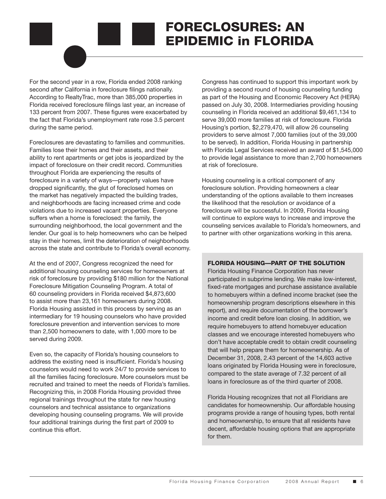# FORECLOSURES: AN EPIDEMIC in FLORIDA

For the second year in a row, Florida ended 2008 ranking second after California in foreclosure filings nationally. According to RealtyTrac, more than 385,000 properties in Florida received foreclosure filings last year, an increase of 133 percent from 2007. These figures were exacerbated by the fact that Florida's unemployment rate rose 3.5 percent during the same period.

Foreclosures are devastating to families and communities. Families lose their homes and their assets, and their ability to rent apartments or get jobs is jeopardized by the impact of foreclosure on their credit record. Communities throughout Florida are experiencing the results of foreclosure in a variety of ways—property values have dropped significantly, the glut of foreclosed homes on the market has negatively impacted the building trades, and neighborhoods are facing increased crime and code violations due to increased vacant properties. Everyone suffers when a home is foreclosed: the family, the surrounding neighborhood, the local government and the lender. Our goal is to help homeowners who can be helped stay in their homes, limit the deterioration of neighborhoods across the state and contribute to Florida's overall economy.

At the end of 2007, Congress recognized the need for additional housing counseling services for homeowners at risk of foreclosure by providing \$180 million for the National Foreclosure Mitigation Counseling Program. A total of 60 counseling providers in Florida received \$4,873,600 to assist more than 23,161 homeowners during 2008. Florida Housing assisted in this process by serving as an intermediary for 19 housing counselors who have provided foreclosure prevention and intervention services to more than 2,500 homeowners to date, with 1,000 more to be served during 2009.

Even so, the capacity of Florida's housing counselors to address the existing need is insufficient. Florida's housing counselors would need to work 24/7 to provide services to all the families facing foreclosure. More counselors must be recruited and trained to meet the needs of Florida's families. Recognizing this, in 2008 Florida Housing provided three regional trainings throughout the state for new housing counselors and technical assistance to organizations developing housing counseling programs. We will provide four additional trainings during the first part of 2009 to continue this effort.

Congress has continued to support this important work by providing a second round of housing counseling funding as part of the Housing and Economic Recovery Act (HERA) passed on July 30, 2008. Intermediaries providing housing counseling in Florida received an additional \$9,461,134 to serve 39,000 more families at risk of foreclosure. Florida Housing's portion, \$2,279,470, will allow 26 counseling providers to serve almost 7,000 families (out of the 39,000 to be served). In addition, Florida Housing in partnership with Florida Legal Services received an award of \$1,545,000 to provide legal assistance to more than 2,700 homeowners at risk of foreclosure.

Housing counseling is a critical component of any foreclosure solution. Providing homeowners a clear understanding of the options available to them increases the likelihood that the resolution or avoidance of a foreclosure will be successful. In 2009, Florida Housing will continue to explore ways to increase and improve the counseling services available to Florida's homeowners, and to partner with other organizations working in this arena.

### FLORIDA HOUSING—PART OF THE SOLUTION

Florida Housing Finance Corporation has never participated in subprime lending. We make low-interest, fixed-rate mortgages and purchase assistance available to homebuyers within a defined income bracket (see the homeownership program descriptions elsewhere in this report), and require documentation of the borrower's income and credit before loan closing. In addition, we require homebuyers to attend homebuyer education classes and we encourage interested homebuyers who don't have acceptable credit to obtain credit counseling that will help prepare them for homeownership. As of December 31, 2008, 2.43 percent of the 14,603 active loans originated by Florida Housing were in foreclosure, compared to the state average of 7.32 percent of all loans in foreclosure as of the third quarter of 2008.

Florida Housing recognizes that not all Floridians are candidates for homeownership. Our affordable housing programs provide a range of housing types, both rental and homeownership, to ensure that all residents have decent, affordable housing options that are appropriate for them.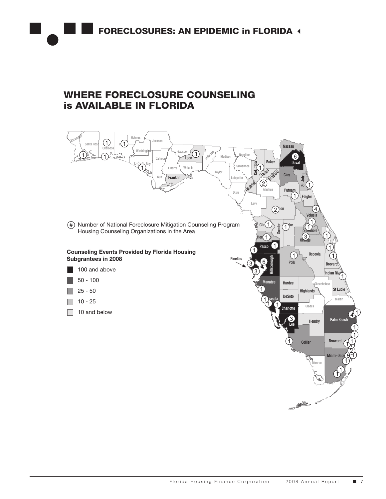## WHERE FORECLOSURE COUNSELING is AVAILABLE IN FLORIDA

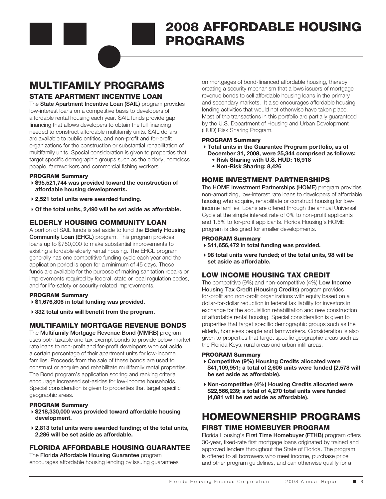## 2008 AFFORDABLE HOUSING PROGRAMS

## MULTIFAMILY PROGRAMS

### STATE APARTMENT INCENTIVE LOAN

The State Apartment Incentive Loan (SAIL) program provides low-interest loans on a competitive basis to developers of affordable rental housing each year. SAIL funds provide gap financing that allows developers to obtain the full financing needed to construct affordable multifamily units. SAIL dollars are available to public entities, and non-profit and for-profit organizations for the construction or substantial rehabilitation of multifamily units. Special consideration is given to properties that target specific demographic groups such as the elderly, homeless people, farmworkers and commercial fishing workers.

### PROGRAM Summary

- 4**\$95,521,744 was provided toward the construction of affordable housing developments.**
- 4**2,521 total units were awarded funding.**
- 4**Of the total units, 2,490 will be set aside as affordable.**

### ELDERLY HOUSING COMMUNITY LOAN

A portion of SAIL funds is set aside to fund the **Elderly Housing** Community Loan (EHCL) program. This program provides loans up to \$750,000 to make substantial improvements to existing affordable elderly rental housing. The EHCL program generally has one competitive funding cycle each year and the application period is open for a minimum of 45 days. These funds are available for the purpose of making sanitation repairs or improvements required by federal, state or local regulation codes, and for life-safety or security-related improvements.

### PROGRAM Summary

- 4**\$1,676,806 in total funding was provided.**
- 4**332 total units will benefit from the program.**

### MULTIFAMILY MORTGAGE REVENUE BONDS

The Multifamily Mortgage Revenue Bond (MMRB) program uses both taxable and tax-exempt bonds to provide below market rate loans to non-profit and for-profit developers who set aside a certain percentage of their apartment units for low-income families. Proceeds from the sale of these bonds are used to construct or acquire and rehabilitate multifamily rental properties. The Bond program's application scoring and ranking criteria encourage increased set-asides for low-income households. Special consideration is given to properties that target specific geographic areas.

### PROGRAM Summary

- 4**\$218,330,000 was provided toward affordable housing development.**
- 4**2,813 total units were awarded funding; of the total units, 2,286 will be set aside as affordable.**

### FLORIDA AFFORDABLE HOUSING GUARANTEE

The Florida Affordable Housing Guarantee program encourages affordable housing lending by issuing guarantees on mortgages of bond-financed affordable housing, thereby creating a security mechanism that allows issuers of mortgage revenue bonds to sell affordable housing loans in the primary and secondary markets. It also encourages affordable housing lending activities that would not otherwise have taken place. Most of the transactions in this portfolio are partially guaranteed by the U.S. Department of Housing and Urban Development (HUD) Risk Sharing Program.

### PROGRAM Summary

- 4**Total units in the Guarantee Program portfolio, as of December 31, 2008, were 25,344 comprised as follows:**
	- **• Risk Sharing with U.S. HUD: 16,918**
	- **• Non-Risk Sharing: 8,426**

### HOME INVESTMENT PARTNERSHIPS

The **HOME Investment Partnerships (HOME)** program provides non-amortizing, low-interest rate loans to developers of affordable housing who acquire, rehabilitate or construct housing for lowincome families. Loans are offered through the annual Universal Cycle at the simple interest rate of 0% to non-profit applicants and 1.5% to for-profit applicants. Florida Housing's HOME program is designed for smaller developments.

### PROGRAM Summary

- 4**\$11,656,472 in total funding was provided.**
- 4**98 total units were funded; of the total units, 98 will be set aside as affordable.**

### LOW INCOME HOUSING TAX CREDIT

The competitive (9%) and non-competitive (4%) Low Income **Housing Tax Credit (Housing Credits)** program provides for-profit and non-profit organizations with equity based on a dollar-for-dollar reduction in federal tax liability for investors in exchange for the acquisition rehabilitation and new construction of affordable rental housing. Special consideration is given to properties that target specific demographic groups such as the elderly, homeless people and farmworkers. Consideration is also given to properties that target specific geographic areas such as the Florida Keys, rural areas and urban infill areas.

### PROGRAM Summary

- 4**Competitive (9%) Housing Credits allocated were \$41,109,951; a total of 2,606 units were funded (2,578 will be set aside as affordable).**
- 4**Non-competitive (4%) Housing Credits allocated were \$22,566,239; a total of 4,270 total units were funded (4,081 will be set aside as affordable).**

## HOMEOWNERSHIP PROGRAMS

### FIRST TIME HOMEBUYER PROGRAM

Florida Housing's First Time Homebuyer (FTHB) program offers 30-year, fixed-rate first mortgage loans originated by trained and approved lenders throughout the State of Florida. The program is offered to all borrowers who meet income, purchase price and other program guidelines, and can otherwise qualify for a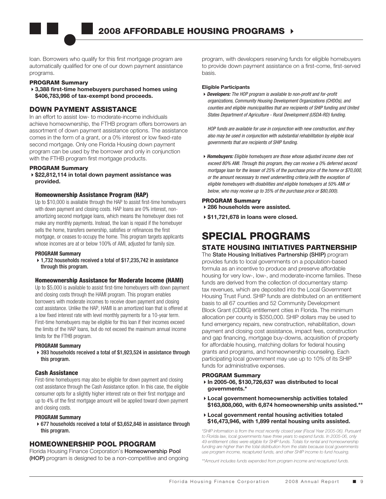loan. Borrowers who qualify for this first mortgage program are automatically qualified for one of our down payment assistance programs.

### PROGRAM Summary

4**3,388 first-time homebuyers purchased homes using \$406,783,998 of tax-exempt bond proceeds.**

### DOWN PAYMENT ASSISTANCE

In an effort to assist low- to moderate-income individuals achieve homeownership, the FTHB program offers borrowers an assortment of down payment assistance options. The assistance comes in the form of a grant, or a 0% interest or low fixed-rate second mortgage. Only one Florida Housing down payment program can be used by the borrower and only in conjunction with the FTHB program first mortgage products.

### PROGRAM Summary

4**\$22,812,114 in total down payment assistance was provided.**

### Homeownership Assistance Program (HAP)

Up to \$10,000 is available through the HAP to assist first-time homebuyers with down payment and closing costs. HAP loans are 0% interest, nonamortizing second mortgage loans, which means the homebuyer does not make any monthly payments. Instead, the loan is repaid if the homebuyer sells the home, transfers ownership, satisfies or refinances the first mortgage, or ceases to occupy the home. This program targets applicants whose incomes are at or below 100% of AMI, adjusted for family size.

### **PROGRAM Summary**

▶ 1,732 households received a total of \$17,235,742 in assistance through this program.

### Homeownership Assistance for Moderate Income (HAMI)

Up to \$5,000 is available to assist first-time homebuyers with down payment and closing costs through the HAMI program. This program enables borrowers with moderate incomes to receive down payment and closing cost assistance. Unlike the HAP, HAMI is an amortized loan that is offered at a low fixed interest rate with level monthly payments for a 10-year term. First-time homebuyers may be eligible for this loan if their incomes exceed the limits of the HAP loans, but do not exceed the maximum annual income limits for the FTHB program.

### **PROGRAM Summary**

▶ 393 households received a total of \$1,923,524 in assistance through this program.

### Cash Assistance

First-time homebuyers may also be eligible for down payment and closing cost assistance through the Cash Assistance option. In this case, the eligible consumer opts for a slightly higher interest rate on their first mortgage and up to 4% of the first mortgage amount will be applied toward down payment and closing costs.

### **PROGRAM Summary**

 4677 households received a total of \$3,652,848 in assistance through this program.

### HOMEOWNERSHIP POOL PROGRAM

Florida Housing Finance Corporation's Homeownership Pool (HOP) program is designed to be a non-competitive and ongoing program, with developers reserving funds for eligible homebuyers to provide down payment assistance on a first-come, first-served basis.

### **Eligible Participants**

4*Developers: The HOP program is available to non-profit and for-profit organizations, Community Housing Development Organizations (CHDOs), and counties and eligible municipalities that are recipients of SHIP funding and United States Department of Agriculture - Rural Development (USDA-RD) funding.*

*HOP funds are available for use in conjunction with new construction, and they also may be used in conjunction with substantial rehabilitation by eligible local governments that are recipients of SHIP funding.*

4*Homebuyers: Eligible homebuyers are those whose adjusted income does not exceed 80% AMI. Through this program, they can receive a 0% deferred second mortgage loan for the lesser of 25% of the purchase price of the home or \$70,000, or the amount necessary to meet underwriting criteria (with the exception of eligible homebuyers with disabilities and eligible homebuyers at 50% AMI or below, who may receive up to 35% of the purchase price or \$80,000).*

### PROGRAM Summary

- 4**286 households were assisted.**
- 4**\$11,721,678 in loans were closed.**

## SPECIAL PROGRAMS

### STATE HOUSING INITIATIVES PARTNERSHIP

The State Housing Initiatives Partnership (SHIP) program provides funds to local governments on a population-based formula as an incentive to produce and preserve affordable housing for very low-, low-, and moderate-income families. These funds are derived from the collection of documentary stamp tax revenues, which are deposited into the Local Government Housing Trust Fund. SHIP funds are distributed on an entitlement basis to all 67 counties and 52 Community Development Block Grant (CDBG) entitlement cities in Florida. The minimum allocation per county is \$350,000. SHIP dollars may be used to fund emergency repairs, new construction, rehabilitation, down payment and closing cost assistance, impact fees, construction and gap financing, mortgage buy-downs, acquisition of property for affordable housing, matching dollars for federal housing grants and programs, and homeownership counseling. Each participating local government may use up to 10% of its SHIP funds for administrative expenses.

### PROGRAM Summary

- 4**In 2005-06, \$130,726,637 was distributed to local governments.\***
- 4**Local government homeownership activities totaled \$163,808,060, with 6,874 homeownership units assisted.\*\***
- 4**Local government rental housing activities totaled \$16,473,946, with 1,899 rental housing units assisted.**

*\*SHIP information is from the most recently closed year (Fiscal Year 2005-06). Pursuant to Florida law, local governments have three years to expend funds. In 2005-06, only 49 entitlement cities were eligible for SHIP funds. Totals for rental and homeownership funding are higher than the total distribution from the state because local governments use program income, recaptured funds, and other SHIP income to fund housing.*

*\*\*Amount includes funds expended from program income and recaptured funds.*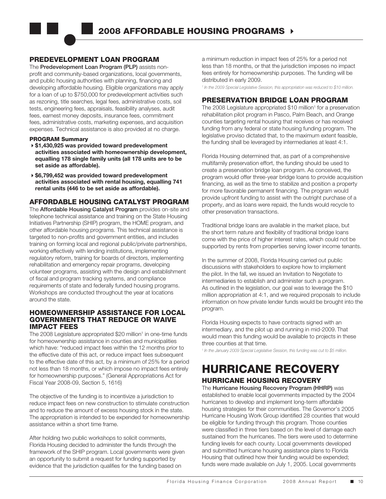### PREDEVELOPMENT LOAN PROGRAM

The Predevelopment Loan Program (PLP) assists nonprofit and community-based organizations, local governments, and public housing authorities with planning, financing and developing affordable housing. Eligible organizations may apply for a loan of up to \$750,000 for predevelopment activities such as rezoning, title searches, legal fees, administrative costs, soil tests, engineering fees, appraisals, feasibility analyses, audit fees, earnest money deposits, insurance fees, commitment fees, administrative costs, marketing expenses, and acquisition expenses. Technical assistance is also provided at no charge.

#### PROGRAM Summary

- 4**\$1,430,925 was provided toward predevelopment activities associated with homeownership development, equalling 178 single family units (all 178 units are to be set aside as affordable).**
- 4**\$6,799,452 was provided toward predevelopment activities associated with rental housing, equalling 741 rental units (446 to be set aside as affordable).**

### AFFORDABLE HOUSING CATALYST PROGRAM

The **Affordable Housing Catalyst Program** provides on-site and telephone technical assistance and training on the State Housing Initiatives Partnership (SHIP) program, the HOME program, and other affordable housing programs. This technical assistance is targeted to non-profits and government entities, and includes training on forming local and regional public/private partnerships, working effectively with lending institutions, implementing regulatory reform, training for boards of directors, implementing rehabilitation and emergency repair programs, developing volunteer programs, assisting with the design and establishment of fiscal and program tracking systems, and compliance requirements of state and federally funded housing programs. Workshops are conducted throughout the year at locations around the state.

### HOMEOWNERSHIP ASSISTANCE FOR LOCAL GOVERNMENTS THAT REDUCE OR WAIVE IMPACT FEES

The 2008 Legislature appropriated \$20 million<sup>1</sup> in one-time funds for homeownership assistance in counties and municipalities which have: "reduced impact fees within the 12 months prior to the effective date of this act, or reduce impact fees subsequent to the effective date of this act, by a minimum of 25% for a period not less than 18 months, or which impose no impact fees entirely for homeownership purposes." (General Appropriations Act for Fiscal Year 2008-09, Section 5, 1616)

The objective of the funding is to incentivize a jurisdiction to reduce impact fees on new construction to stimulate construction and to reduce the amount of excess housing stock in the state. The appropriation is intended to be expended for homeownership assistance within a short time frame.

After holding two public workshops to solicit comments, Florida Housing decided to administer the funds through the framework of the SHIP program. Local governments were given an opportunity to submit a request for funding supported by evidence that the jurisdiction qualifies for the funding based on

a minimum reduction in impact fees of 25% for a period not less than 18 months, or that the jurisdiction imposes no impact fees entirely for homeownership purposes. The funding will be distributed in early 2009.

*1 In the 2009 Special Legislative Session, this appropriation was reduced to \$10 million.*

### PRESERVATION BRIDGE LOAN PROGRAM

The 2008 Legislature appropriated \$10 million<sup>1</sup> for a preservation rehabilitation pilot program in Pasco, Palm Beach, and Orange counties targeting rental housing that receives or has received funding from any federal or state housing funding program. The legislative proviso dictated that, to the maximum extent feasible, the funding shall be leveraged by intermediaries at least 4:1.

Florida Housing determined that, as part of a comprehensive multifamily preservation effort, the funding should be used to create a preservation bridge loan program. As conceived, the program would offer three-year bridge loans to provide acquisition financing, as well as the time to stabilize and position a property for more favorable permanent financing. The program would provide upfront funding to assist with the outright purchase of a property, and as loans were repaid, the funds would recycle to other preservation transactions.

Traditional bridge loans are available in the market place, but the short term nature and flexibility of traditional bridge loans come with the price of higher interest rates, which could not be supported by rents from properties serving lower income tenants.

In the summer of 2008, Florida Housing carried out public discussions with stakeholders to explore how to implement the pilot. In the fall, we issued an Invitation to Negotiate to intermediaries to establish and administer such a program. As outlined in the legislation, our goal was to leverage the \$10 million appropriation at 4:1, and we required proposals to include information on how private lender funds would be brought into the program.

Florida Housing expects to have contracts signed with an intermediary, and the pilot up and running in mid-2009. That would mean this funding would be available to projects in these three counties at that time.

*1 In the January 2009 Special Legislative Session, this funding was cut to \$5 million.*

# HURRICANE RECOVERY

## HURRICANE HOUSING RECOVERY

The Hurricane Housing Recovery Program (HHRP) was established to enable local governments impacted by the 2004 hurricanes to develop and implement long-term affordable housing strategies for their communities. The Governor's 2005 Hurricane Housing Work Group identified 28 counties that would be eligible for funding through this program. Those counties were classified in three tiers based on the level of damage each sustained from the hurricanes. The tiers were used to determine funding levels for each county. Local governments developed and submitted hurricane housing assistance plans to Florida Housing that outlined how their funding would be expended; funds were made available on July 1, 2005. Local governments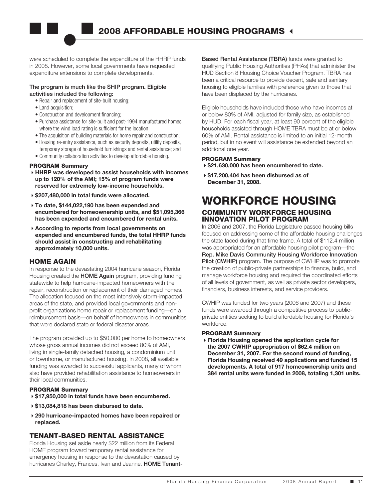were scheduled to complete the expenditure of the HHRP funds in 2008. However, some local governments have requested expenditure extensions to complete developments.

### The program is much like the SHIP program. Eligible activities included the following:

- Repair and replacement of site-built housing;
- Land acquisition;
- Construction and development financing;
- Purchase assistance for site-built and post-1994 manufactured homes where the wind load rating is sufficient for the location;
- The acquisition of building materials for home repair and construction;
- Housing re-entry assistance, such as security deposits, utility deposits, temporary storage of household furnishings and rental assistance; and
- Community collaboration activities to develop affordable housing.

### PROGRAM Summary

- **HHRP was developed to assist households with incomes up to 120% of the AMI; 15% of program funds were reserved for extremely low-income households.**
- **\$207,480,000 in total funds were allocated.**
- **To date, \$144,022,190 has been expended and encumbered for homeownership units, and \$51,095,366 has been expended and encumbered for rental units.**
- **According to reports from local governments on expended and encumbered funds, the total HHRP funds should assist in constructing and rehabilitating approximately 10,000 units.**

### HOME AGAIN

In response to the devastating 2004 hurricane season, Florida Housing created the **HOME Again** program, providing funding statewide to help hurricane-impacted homeowners with the repair, reconstruction or replacement of their damaged homes. The allocation focused on the most intensively storm-impacted areas of the state, and provided local governments and nonprofit organizations home repair or replacement funding—on a reimbursement basis—on behalf of homeowners in communities that were declared state or federal disaster areas.

The program provided up to \$50,000 per home to homeowners whose gross annual incomes did not exceed 80% of AMI, living in single-family detached housing, a condominium unit or townhome, or manufactured housing. In 2008, all available funding was awarded to successful applicants, many of whom also have provided rehabilitation assistance to homeowners in their local communities.

### PROGRAM Summary

- 4**\$17,950,000 in total funds have been encumbered.**
- 4**\$13,084,818 has been disbursed to date.**
- 4**290 hurricane-impacted homes have been repaired or replaced.**

### TENANT-BASED RENTAL ASSISTANCE

Florida Housing set aside nearly \$22 million from its Federal HOME program toward temporary rental assistance for emergency housing in response to the devastation caused by hurricanes Charley, Frances, Ivan and Jeanne. HOME TenantBased Rental Assistance (TBRA) funds were granted to qualifying Public Housing Authorities (PHAs) that administer the HUD Section 8 Housing Choice Voucher Program. TBRA has been a critical resource to provide decent, safe and sanitary housing to eligible families with preference given to those that have been displaced by the hurricanes.

Eligible households have included those who have incomes at or below 80% of AMI, adjusted for family size, as established by HUD. For each fiscal year, at least 90 percent of the eligible households assisted through HOME TBRA must be at or below 60% of AMI. Rental assistance is limited to an initial 12-month period, but in no event will assistance be extended beyond an additional one year.

### PROGRAM Summary

- 4**\$21,630,000 has been encumbered to date.**
- 4**\$17,200,404 has been disbursed as of December 31, 2008.**

### WORKFORCE HOUSING COMMUNITY WORKFORCE HOUSING INNOVATION PILOT PROGRAM

In 2006 and 2007, the Florida Legislature passed housing bills focused on addressing some of the affordable housing challenges the state faced during that time frame. A total of \$112.4 million was appropriated for an affordable housing pilot program—the Rep. Mike Davis Community Housing Workforce Innovation Pilot (CWHIP) program. The purpose of CWHIP was to promote the creation of public-private partnerships to finance, build, and manage workforce housing and required the coordinated efforts of all levels of government, as well as private sector developers, financiers, business interests, and service providers.

CWHIP was funded for two years (2006 and 2007) and these funds were awarded through a competitive process to publicprivate entities seeking to build affordable housing for Florida's workforce.

### PROGRAM Summary

4**Florida Housing opened the application cycle for the 2007 CWHIP appropriation of \$62.4 million on December 31, 2007. For the second round of funding, Florida Housing received 49 applications and funded 15 developments. A total of 917 homeownership units and 384 rental units were funded in 2008, totaling 1,301 units.**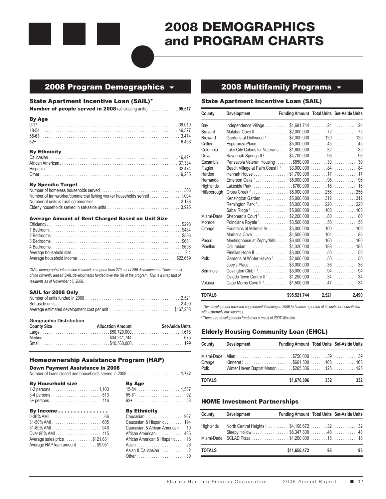

## 2008 DEMOGRAPHICS and PROGRAM CHARTS

### 2008 Program Demographics  $\frac{1}{2008}$  2008 Multifamily Programs  $\frac{1}{2008}$

### State Apartment Incentive Loan (SAIL)\*

**Number of people served in 2008** (all existing units) .............. 95,517

| <b>By Age</b>        |  |
|----------------------|--|
|                      |  |
|                      |  |
|                      |  |
|                      |  |
| <b>D., Ethnisity</b> |  |

| <b>DY EURINGILY</b> |  |
|---------------------|--|
|                     |  |
|                     |  |
|                     |  |
|                     |  |

#### By Specific Target

#### Average Amount of Rent Charged Based on Unit Size

*\*SAIL demographic information is based on reports from 270 out of 296 developments. These are all of the currently leased SAIL developments funded over the life of the program. This is a snapshot of residents as of November 15, 2008.*

### SAIL for 2008 Only

| Average estimated development cost per unit \$167,258 |  |
|-------------------------------------------------------|--|

#### **Geographic Distribution**

| <b>County Size</b> | <b>Allocation Amount</b> | Set-Aside Units |
|--------------------|--------------------------|-----------------|
|                    |                          |                 |
|                    |                          |                 |
|                    |                          |                 |

### Homeownership Assistance Program (HAP)

### Down Payment Assistance in 2008

|--|--|

| <b>By Household size</b> | <b>By Age</b> |
|--------------------------|---------------|
|                          |               |
|                          |               |
|                          |               |

| By Income                       | <b>By Ethnicity</b>                 |
|---------------------------------|-------------------------------------|
|                                 | Caucasian 967                       |
|                                 | Caucasian & Hispanic194             |
|                                 | Caucasian & African American 10     |
|                                 | African American485                 |
| Average sales price\$121,831    | African American & Hispanic18       |
| Average HAP loan amount \$9,951 |                                     |
|                                 | $\cdots$ $\cdots$ $\cdots$ $\cdots$ |

| <b>By Ethnicity</b>             |  |
|---------------------------------|--|
| Caucasian 967                   |  |
| Caucasian & Hispanic194         |  |
| Caucasian & African American 10 |  |
| African American485             |  |
| African American & Hispanic18   |  |

Average HAP loan amount ......... \$9,951 Asian....................... 26 Asian & Caucasian . . . . . . . . . . . . 2 Other....................... 30

### State Apartment Incentive Loan (SAIL)

| County         | Development                                        | <b>Funding Amount Total Units Set-Aside Units</b> |       |                     |
|----------------|----------------------------------------------------|---------------------------------------------------|-------|---------------------|
| Bay            | Independence Village\$1,691,744 2424               |                                                   |       |                     |
| <b>Brevard</b> | Malabar Cove II <sup>1</sup> \$2.000.000 7272      |                                                   |       |                     |
| <b>Broward</b> | Gardens at Driftwood 1\$7,000,000 120  120         |                                                   |       |                     |
| Collier        |                                                    |                                                   |       |                     |
| Columbia       |                                                    |                                                   |       |                     |
| Duval          | Savannah Springs II <sup>2</sup> \$4,700,000 96 96 |                                                   |       |                     |
| Escambia       | Pensacola Veteran Housing\$850,000 3030            |                                                   |       |                     |
| Flagler        |                                                    |                                                   |       |                     |
| Hardee         |                                                    |                                                   |       |                     |
| Hernando       | Emerson Oaks <sup>2</sup> \$5,000,000 9696         |                                                   |       |                     |
| Highlands      |                                                    |                                                   |       |                     |
| Hillsborough   | Cross Creek <sup>2</sup> \$5,000,000256256         |                                                   |       |                     |
|                | Kensington Garden \$5,000,000 312312               |                                                   |       |                     |
|                | Remington Park <sup>2</sup>                        |                                                   |       | $$5,000,000$ 220220 |
|                | Sabal Ridge <sup>2</sup> \$5,000,000 108108        |                                                   |       |                     |
| Miami-Dade     | Shepherd's Court <sup>1</sup>                      |                                                   |       | $$2,200,000$ 8080   |
| Monroe         | Poinciana Royale <sup>1</sup>                      |                                                   |       | $$3,500,000$ 5050   |
| Orange         | Fountains at Millenia IV                           |                                                   |       | $$5,000,000$ 100100 |
|                | Marbella Cove                                      |                                                   |       | $$4,500,000$ 10486  |
| Pasco          | Meetinghouse at Zephyrhills                        |                                                   |       | $$6,400,000$ 160160 |
| Pinellas       | Columbian <sup>1</sup>                             |                                                   |       | $$4.320.000$ 188188 |
|                | Pinellas Hope II                                   |                                                   |       | $$3,000,000$ 5050   |
| Polk           |                                                    |                                                   |       |                     |
|                |                                                    |                                                   |       |                     |
| Seminole       |                                                    |                                                   |       |                     |
|                |                                                    |                                                   |       |                     |
| Volusia        |                                                    |                                                   |       |                     |
| <b>TOTALS</b>  |                                                    | \$95,521,744                                      | 2.521 | 2.490               |

*1 This development received supplemental funding in 2008 to finance a portion of its units for households with extremely low incomes.*

*2 These are developments funded as a result of 2007 litigation.*

### Elderly Housing Community Loan (EHCL)

| County         | Development                                  | <b>Funding Amount Total Units Set-Aside Units</b> |     |     |
|----------------|----------------------------------------------|---------------------------------------------------|-----|-----|
| Orange<br>Polk | Winter Haven Baptist Manor\$265,306 125  125 |                                                   |     |     |
| <b>TOTALS</b>  |                                              | \$1.676.806                                       | 332 | 332 |

### HOME Investment Partnerships

| County        | Development                  | <b>Funding Amount Total Units Set-Aside Units</b> |    |    |
|---------------|------------------------------|---------------------------------------------------|----|----|
| Highlands     |                              |                                                   |    |    |
|               | Sleepy Hollow\$6,347,8004848 |                                                   |    |    |
|               |                              |                                                   |    |    |
| <b>TOTALS</b> |                              | \$11,656,472                                      | 98 | 98 |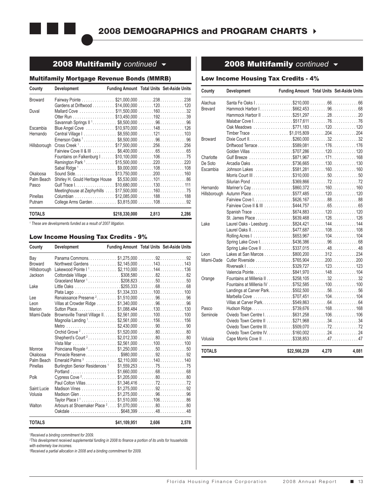

### **2008 Multifamily** continued  $\rightarrow$  **2008 Multifamily** continued  $\rightarrow$

### Multifamily Mortgage Revenue Bonds (MMRB)

| County         | Development                                       | <b>Funding Amount Total Units Set-Aside Units</b> |       |
|----------------|---------------------------------------------------|---------------------------------------------------|-------|
| <b>Broward</b> | Fairway Pointe \$21,000,000 238 238               |                                                   |       |
|                | Gardens at Driftwood \$14,000,000 120 120         |                                                   |       |
| Duval          | Mallard Cove \$11,500,000 16032                   |                                                   |       |
|                | Otter Run \$13,450,000 192 39                     |                                                   |       |
|                | Savannah Springs II <sup>1</sup> \$8,500,000 9696 |                                                   |       |
| Escambia       | Blue Angel Cove \$10,970,000 148126               |                                                   |       |
| Hernando       |                                                   |                                                   |       |
|                | Emerson Oaks <sup>1</sup> \$8,500,000 9696        |                                                   |       |
| Hillsborough   | Cross Creek <sup>1</sup> \$17,500,000256256       |                                                   |       |
|                |                                                   |                                                   |       |
|                | Fountains on Falkenburg I \$10,100,000 106 75     |                                                   |       |
|                |                                                   |                                                   |       |
|                | Sabal Ridge <sup>1</sup> \$9,000,000 108 108      |                                                   |       |
| Okaloosa       | Sound Side\$13,750,000 200160                     |                                                   |       |
| Palm Beach     |                                                   |                                                   |       |
| Pasco          | Gulf Trace I. \$10,680,000 130 111                |                                                   |       |
|                | Meetinghouse at Zephyrhills  \$17,500,000  16075  |                                                   |       |
| Pinellas       | Columbian \$12,085,000 188188                     |                                                   |       |
| Putnam         | College Arms Garden. \$3,815,000 108 92           |                                                   |       |
| <b>TOTALS</b>  |                                                   | \$218,330,000 2,813                               | 2,286 |

<sup>1</sup> These are developments funded as a result of 2007 litigation.

### Low Income Housing Tax Credits - 9%

| County         | Development                                                 | <b>Funding Amount Total Units Set-Aside Units</b> |       |       |
|----------------|-------------------------------------------------------------|---------------------------------------------------|-------|-------|
| Bay            |                                                             |                                                   |       |       |
| <b>Broward</b> | Northwest Gardens \$2,145,000 143 143                       |                                                   |       |       |
| Hillsborough   | Lakewood Pointe I <sup>1</sup> \$2,110,000 144136           |                                                   |       |       |
| Jackson        | Cottondale Village \$308,580 8282                           |                                                   |       |       |
|                |                                                             |                                                   |       |       |
| Lake           | Little Oaks \$255,333 6868                                  |                                                   |       |       |
|                | Plata Lago \$1,334,333 100 100                              |                                                   |       |       |
| Lee            | Renaissance Preserve <sup>2</sup> \$1,510,000 96 96         |                                                   |       |       |
| l eon          |                                                             |                                                   |       |       |
| Marion         | Sutton Place\$1,088,484 130130                              |                                                   |       |       |
| Miami-Dade     |                                                             |                                                   |       |       |
|                | Magnolia Landing 1. \$2,561,000 156 156                     |                                                   |       |       |
|                | Metro \$2,430,000 90 90                                     |                                                   |       |       |
|                | Orchid Grove <sup>2</sup> \$1,520,000 80 80                 |                                                   |       |       |
|                | Shepherd's Court 2\$2,012,3308080                           |                                                   |       |       |
|                |                                                             |                                                   |       |       |
| Monroe         | Poinciana Royale <sup>2</sup> \$1,250,0005050               |                                                   |       |       |
| Okaloosa       | Pinnacle Reserve\$980.0009292                               |                                                   |       |       |
| Palm Beach     | Emerald Palms <sup>3</sup> \$2,110,000 140 140              |                                                   |       |       |
| Pinellas       | Burlington Senior Residences <sup>1</sup> \$1,559,253 75 75 |                                                   |       |       |
|                | Portland \$1,660,000 6868                                   |                                                   |       |       |
| Polk           |                                                             |                                                   |       |       |
|                |                                                             |                                                   |       |       |
| Saint Lucie    |                                                             |                                                   |       |       |
| Volusia        |                                                             |                                                   |       |       |
|                | Taylor Place 1 <sup>1</sup> \$1,510,00010686                |                                                   |       |       |
| Walton         | Arbours at Shoemaker Place <sup>2</sup> \$1,070,000 80 80   |                                                   |       |       |
|                | Oakdale \$648,399 4848                                      |                                                   |       |       |
| <b>TOTALS</b>  |                                                             | \$41,109,951                                      | 2,606 | 2,578 |

*1 Received a binding commitment for 2009.*

*2 This development received supplemental funding in 2008 to finance a portion of its units for households with extremely low incomes.*

*3 Received a partial allocation in 2008 and a binding commitment for 2009.*

### Low Income Housing Tax Credits - 4%

| County         | Development                             | Funding Amount Total Units Set-Aside Units |       |       |
|----------------|-----------------------------------------|--------------------------------------------|-------|-------|
| Alachua        |                                         |                                            |       |       |
| Brevard        |                                         |                                            |       |       |
|                |                                         |                                            |       |       |
|                |                                         |                                            |       |       |
|                | Oak Meadows \$771,183 120  120          |                                            |       |       |
|                | Timber Trace \$1,015,809 204204         |                                            |       |       |
| <b>Broward</b> |                                         |                                            |       |       |
|                | Driftwood Terrace \$589,081 176 176     |                                            |       |       |
|                | Golden Villas \$707,286 120120          |                                            |       |       |
| Charlotte      | Gulf Breeze \$871,967 171168            |                                            |       |       |
| De Soto        | Arcadia Oaks \$736,665 130 130          |                                            |       |       |
| Escambia       | Johnson Lakes \$581,281160160           |                                            |       |       |
|                |                                         |                                            |       |       |
|                | Silurian Pond \$369,866 7272            |                                            |       |       |
| Hernando       | Mariner's Cay\$860,372160160            |                                            |       |       |
| Hillsborough   | Autumn Place\$577,485120120             |                                            |       |       |
|                |                                         |                                            |       |       |
|                |                                         |                                            |       |       |
|                | Spanish Trace \$674,883 120  120        |                                            |       |       |
|                | St. James Place \$639,468 126 126       |                                            |       |       |
| Lake           |                                         |                                            |       |       |
|                |                                         |                                            |       |       |
|                | Rolling Acres   \$653,967 104  104      |                                            |       |       |
|                |                                         |                                            |       |       |
|                |                                         |                                            |       |       |
| Leon           | Lakes at San Marcos \$800,200 312 234   |                                            |       |       |
| Miami-Dade     | Cutler Riverside \$765,904 200 200      |                                            |       |       |
|                | Riverwalk    \$329,727  123 123         |                                            |       |       |
|                | Valencia Pointe. \$841,970 148 104      |                                            |       |       |
| Orange         |                                         |                                            |       |       |
|                |                                         |                                            |       |       |
|                | Landings at Carver Park\$502,500 5656   |                                            |       |       |
|                | Marbella Cove \$707,451 104104          |                                            |       |       |
|                |                                         |                                            |       |       |
| Pasco          | Hudson Ridge. \$739,676 168 168         |                                            |       |       |
| Seminole       | Oviedo Town Centre I. \$631,258 106 106 |                                            |       |       |
|                |                                         |                                            |       |       |
|                |                                         |                                            |       |       |
|                |                                         |                                            |       |       |
| Volusia        |                                         |                                            |       |       |
| TOTALS         |                                         | \$22,566,239                               | 4,270 | 4,081 |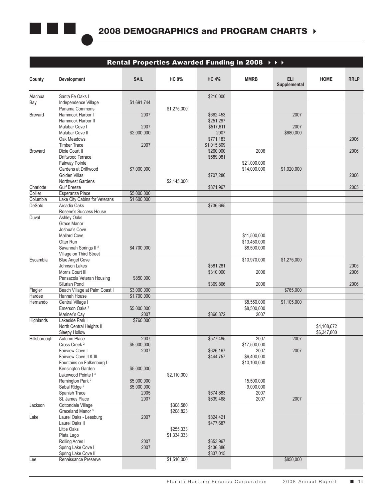

|                     |                                                         |                            | Rental Properties Awarded Funding in 2008 $\rightarrow$ $\rightarrow$ $\rightarrow$ |                        |                         |                      |             |                  |
|---------------------|---------------------------------------------------------|----------------------------|-------------------------------------------------------------------------------------|------------------------|-------------------------|----------------------|-------------|------------------|
| County              | Development                                             | <b>SAIL</b>                | <b>HC 9%</b>                                                                        | <b>HC 4%</b>           | <b>MMRB</b>             | ELI.<br>Supplemental | <b>HOME</b> | <b>RRLP</b>      |
| Alachua             | Santa Fe Oaks I                                         |                            |                                                                                     | \$210,000              |                         |                      |             |                  |
| Bay                 | Independence Village                                    | \$1,691,744                |                                                                                     |                        |                         |                      |             |                  |
|                     | Panama Commons                                          |                            | \$1,275,000                                                                         |                        |                         |                      |             |                  |
| Brevard             | Hammock Harbor I<br>Hammock Harbor II                   | 2007                       |                                                                                     | \$662,453<br>\$251,297 |                         | 2007                 |             |                  |
|                     | Malabar Cove I                                          | 2007                       |                                                                                     | \$517,611              |                         | 2007                 |             |                  |
|                     | Malabar Cove II                                         | \$2,000,000                |                                                                                     | 2007                   |                         | \$680,000            |             |                  |
|                     | Oak Meadows                                             |                            |                                                                                     | \$771,183              |                         |                      |             | 2006             |
|                     | <b>Timber Trace</b>                                     | 2007                       |                                                                                     | \$1,015,809            |                         |                      |             |                  |
| Broward             | Dixie Court II<br>Driftwood Terrace                     |                            |                                                                                     | \$260,000<br>\$589,081 | 2006                    |                      |             | 2006             |
|                     | Fairway Pointe                                          |                            |                                                                                     |                        | \$21,000,000            |                      |             |                  |
|                     | Gardens at Driftwood                                    | \$7,000,000                |                                                                                     |                        | \$14,000,000            | \$1,020,000          |             |                  |
|                     | Golden Villas                                           |                            |                                                                                     | \$707,286              |                         |                      |             | 2006             |
|                     | Northwest Gardens                                       |                            | \$2,145,000                                                                         |                        |                         |                      |             |                  |
| Charlotte           | <b>Gulf Breeze</b><br>Esperanza Place                   | \$5,000,000                |                                                                                     | \$871,967              |                         |                      |             | 2005             |
| Collier<br>Columbia | Lake City Cabins for Veterans                           | \$1,600,000                |                                                                                     |                        |                         |                      |             |                  |
| DeSoto              | Arcadia Oaks                                            |                            |                                                                                     | \$736,665              |                         |                      |             |                  |
|                     | Rosene's Success House                                  |                            |                                                                                     |                        |                         |                      |             |                  |
| Duval               | <b>Ashley Oaks</b>                                      |                            |                                                                                     |                        |                         |                      |             |                  |
|                     | Grace Manor<br>Joshua's Cove                            |                            |                                                                                     |                        |                         |                      |             |                  |
|                     | <b>Mallard Cove</b>                                     |                            |                                                                                     |                        | \$11,500,000            |                      |             |                  |
|                     | Otter Run                                               |                            |                                                                                     |                        | \$13,450,000            |                      |             |                  |
|                     | Savannah Springs II <sup>2</sup>                        | \$4,700,000                |                                                                                     |                        | \$8,500,000             |                      |             |                  |
|                     | Village on Third Street                                 |                            |                                                                                     |                        |                         |                      |             |                  |
| Escambia            | <b>Blue Angel Cove</b>                                  |                            |                                                                                     |                        | \$10,970,000            | \$1,275,000          |             |                  |
|                     | Johnson Lakes<br>Morris Court III                       |                            |                                                                                     | \$581,281<br>\$310,000 | 2006                    |                      |             | $2005\,$<br>2006 |
|                     | Pensacola Veteran Housing                               | \$850,000                  |                                                                                     |                        |                         |                      |             |                  |
|                     | Silurian Pond                                           |                            |                                                                                     | \$369,866              | 2006                    |                      |             | 2006             |
| Flagler             | Beach Village at Palm Coast I                           | \$3,000,000                |                                                                                     |                        |                         | \$765,000            |             |                  |
| Hardee              | Hannah House                                            | \$1,700,000                |                                                                                     |                        |                         |                      |             |                  |
| Hernando            | Central Village I<br>Emerson Oaks <sup>2</sup>          | \$5,000,000                |                                                                                     |                        | \$8,550,000             | \$1,105,000          |             |                  |
|                     | Mariner's Cay                                           | 2007                       |                                                                                     | \$860,372              | \$8,500,000<br>2007     |                      |             |                  |
| Highlands           | Lakeside Park I                                         | \$760,000                  |                                                                                     |                        |                         |                      |             |                  |
|                     | North Central Heights II                                |                            |                                                                                     |                        |                         |                      | \$4,108,672 |                  |
|                     | Sleepy Hollow                                           |                            |                                                                                     |                        |                         |                      | \$6,347,800 |                  |
|                     | Hillsborough Autumn Place                               | 2007                       |                                                                                     | \$577,485              | 2007                    | 2007                 |             |                  |
|                     | Cross Creek <sup>2</sup><br>Fairview Cove I             | \$5,000,000<br>2007        |                                                                                     | \$626,167              | \$17,500,000<br>2007    | 2007                 |             |                  |
|                     | Fairview Cove II & III                                  |                            |                                                                                     | \$444,757              | \$6,400,000             |                      |             |                  |
|                     | Fountains on Falkenburg I                               |                            |                                                                                     |                        | \$10,100,000            |                      |             |                  |
|                     | Kensington Garden                                       | \$5,000,000                |                                                                                     |                        |                         |                      |             |                  |
|                     | Lakewood Pointe I <sup>3</sup>                          |                            | \$2,110,000                                                                         |                        |                         |                      |             |                  |
|                     | Remington Park <sup>2</sup><br>Sabal Ridge <sup>2</sup> | \$5,000,000<br>\$5,000,000 |                                                                                     |                        | 15,500,000<br>9,000,000 |                      |             |                  |
|                     | Spanish Trace                                           | 2005                       |                                                                                     | \$674,883              | 2007                    |                      |             |                  |
|                     | St. James Place                                         | 2007                       |                                                                                     | \$639,468              | 2007                    | 2007                 |             |                  |
| Jackson             | Cottondale Village<br>Graceland Manor <sup>3</sup>      |                            | \$308,580<br>\$208,823                                                              |                        |                         |                      |             |                  |
| Lake                | Laurel Oaks - Leesburg                                  | 2007                       |                                                                                     | \$824,421              |                         |                      |             |                  |
|                     | Laurel Oaks II                                          |                            |                                                                                     | \$477,687              |                         |                      |             |                  |
|                     | Little Oaks                                             |                            | \$255,333                                                                           |                        |                         |                      |             |                  |
|                     | Plata Lago                                              |                            | \$1,334,333                                                                         |                        |                         |                      |             |                  |
|                     | Rolling Acres I<br>Spring Lake Cove I                   | 2007<br>2007               |                                                                                     | \$653,967<br>\$436,386 |                         |                      |             |                  |
|                     | Spring Lake Cove II                                     |                            |                                                                                     | \$337,015              |                         |                      |             |                  |
| Lee                 | Renaissance Preserve                                    |                            | \$1,510,000                                                                         |                        |                         | \$850,000            |             |                  |
|                     |                                                         |                            |                                                                                     |                        |                         |                      |             |                  |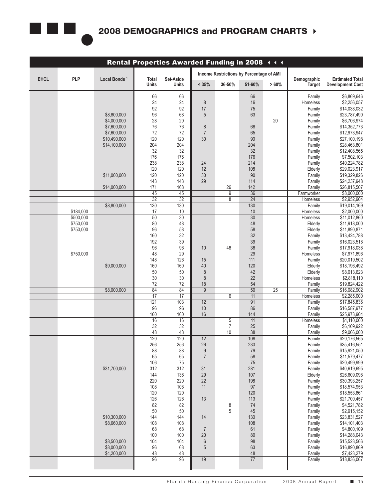

| Rental Properties Awarded Funding in 2008 444                                                                                                    |  |      |
|--------------------------------------------------------------------------------------------------------------------------------------------------|--|------|
| Income Restrictions by Percentage of AMI                                                                                                         |  |      |
| <b>PLP</b><br>Total<br>Set-Aside<br>Local Bonds <sup>1</sup><br>Demographic<br>51-60%<br>Units<br>< 35%<br>36-50%<br>$> 60\%$<br>Target<br>Units |  | EHCL |
| 66<br>66<br>66<br>Family                                                                                                                         |  |      |
| 24<br>24<br>16<br>Homeless<br>8                                                                                                                  |  |      |
| 92<br>92<br>17<br>75<br>Family<br>96<br>68<br>\$8,800,000<br>63<br>$5\overline{)}$<br>Family                                                     |  |      |
| 28<br>$20\,$<br>\$4,000,000<br>20<br>Family                                                                                                      |  |      |
| $76\,$<br>$76\,$<br>68<br>\$7,600,000<br>Family<br>8<br>$72\,$<br>$72$<br>65<br>\$7,600,000<br>$\overline{7}$<br>Family                          |  |      |
| 120<br>120<br>30 <sup>°</sup><br>$90\,$<br>\$10,490,000<br>Family                                                                                |  |      |
| 204<br>204<br>\$14,100,000<br>204<br>Family<br>$\overline{32}$<br>$\overline{32}$<br>$\overline{32}$<br>Family                                   |  |      |
| 176<br>176<br>176<br>Family                                                                                                                      |  |      |
| 238<br>238<br>24<br>214<br>Family<br>120<br>120<br>12<br>108<br>Elderly                                                                          |  |      |
| 30 <sup>°</sup><br>120<br>120<br>$90\,$<br>\$11,000,000<br>Family                                                                                |  |      |
| 143<br>29<br>114<br>143<br>Family                                                                                                                |  |      |
| 168<br>171<br>142<br>26<br>\$14,000,000<br>Family<br>$\overline{45}$<br>36<br>45<br>9<br>Farmworker                                              |  |      |
| 32<br>32<br>24<br>8<br>Homeless                                                                                                                  |  |      |
| 130<br>130<br>\$8,800,000<br>$\overline{130}$<br>Family<br>17<br>$10\,$<br>\$184,000<br>$10$<br>Homeless                                         |  |      |
| 50<br>30 <sup>°</sup><br>30<br>\$500,000<br>Homeless                                                                                             |  |      |
| $80\,$<br>\$750,000<br>48<br>48<br>Elderly                                                                                                       |  |      |
| $96\,$<br>58<br>58<br>\$750,000<br>Elderly<br>$32\,$<br>160<br>$32\,$<br>Family                                                                  |  |      |
| $39\,$<br>192<br>$39\,$<br>Family                                                                                                                |  |      |
| $96\,$<br>$96\,$<br>$38\,$<br>48<br>10<br>Family<br>29<br>\$750,000<br>48<br>29<br>Homeless                                                      |  |      |
| 148<br>126<br>15<br>111<br>Family                                                                                                                |  |      |
| $160\,$<br>160<br>120<br>\$9,000,000<br>40<br>Elderly                                                                                            |  |      |
| $50\,$<br>$50\,$<br>$42\,$<br>8<br>Elderly<br>$30\,$<br>$30\,$<br>$22\,$<br>Homeless<br>8                                                        |  |      |
| $72\,$<br>72<br>$54\,$<br>18<br>Family                                                                                                           |  |      |
| 84<br>84<br>$\overline{50}$<br>9<br>25<br>\$8,000,000<br>Family<br>17<br>17<br>11<br>6<br>Homeless                                               |  |      |
| 121<br>$\overline{103}$<br>12<br>91<br>Family                                                                                                    |  |      |
| 96<br>$96\,$<br>86<br>10<br>Family<br>144<br>160<br>160<br>16<br>Family                                                                          |  |      |
| 16<br>16<br>11<br>5<br>Homeless                                                                                                                  |  |      |
| $32\,$<br>32<br>$25\,$<br>Family<br>48<br>48<br>$38\,$<br>10<br>Family                                                                           |  |      |
| 120<br>12<br>120<br>108<br>Family                                                                                                                |  |      |
| 256<br>256<br>26<br>230<br>Family<br>88<br>88                                                                                                    |  |      |
| 79<br>Family<br>65<br>65<br>58<br>Family                                                                                                         |  |      |
| 106<br>75<br>75<br>Family                                                                                                                        |  |      |
| \$31,700,000<br>312<br>281<br>312<br>31<br>Family<br>136<br>29<br>$107$<br>144<br>Elderly                                                        |  |      |
| 22<br>198<br>220<br>220<br>Family                                                                                                                |  |      |
| 108<br>108<br>97<br>11<br>Family<br>120<br>120<br>120                                                                                            |  |      |
| Family<br>126<br>126<br>13<br>113<br>Family                                                                                                      |  |      |
| 82<br>82<br>74<br>Family<br>8                                                                                                                    |  |      |
| $50\,$<br>$50\,$<br>5 <sup>5</sup><br>45<br>Family<br>\$10,300,000<br>144<br>144<br>130<br>14<br>Family                                          |  |      |
| 108<br>108<br>108<br>\$8,660,000<br>Family                                                                                                       |  |      |
| 68<br>68<br>61<br>Family<br>$\overline{7}$<br>20<br>$80\,$<br>100<br>100                                                                         |  |      |
| Family<br>$98\,$<br>104<br>104<br>\$8,500,000<br>$6\overline{6}$<br>Family                                                                       |  |      |
| 96<br>68<br>63<br>\$8,000,000<br>$5\overline{)}$<br>Family                                                                                       |  |      |
| 48<br>48<br>48<br>\$4,200,000<br>Family<br>96<br>96<br>19<br>77<br>Family                                                                        |  |      |
|                                                                                                                                                  |  |      |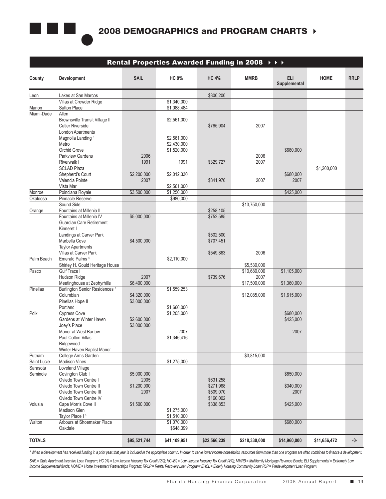

|                       |                                                           |              |                          |              | Rental Properties Awarded Funding in 2008 $\rightarrow \rightarrow \rightarrow$ |                            |              |             |
|-----------------------|-----------------------------------------------------------|--------------|--------------------------|--------------|---------------------------------------------------------------------------------|----------------------------|--------------|-------------|
| County                | Development                                               | SAIL         | <b>HC 9%</b>             | <b>HC 4%</b> | <b>MMRB</b>                                                                     | <b>ELI</b><br>Supplemental | <b>HOME</b>  | <b>RRLP</b> |
| Leon                  | Lakes at San Marcos                                       |              |                          | \$800,200    |                                                                                 |                            |              |             |
|                       | Villas at Crowder Ridge                                   |              | \$1,340,000              |              |                                                                                 |                            |              |             |
| Marion                | <b>Sutton Place</b>                                       |              | \$1,088,484              |              |                                                                                 |                            |              |             |
| Miami-Dade            | Allen                                                     |              |                          |              |                                                                                 |                            |              |             |
|                       | Brownsville Transit Village II                            |              | \$2,561,000              |              |                                                                                 |                            |              |             |
|                       | <b>Cutler Riverside</b>                                   |              |                          | \$765,904    | 2007                                                                            |                            |              |             |
|                       | <b>London Apartments</b><br>Magnolia Landing <sup>3</sup> |              | \$2,561,000              |              |                                                                                 |                            |              |             |
|                       | Metro                                                     |              | \$2,430,000              |              |                                                                                 |                            |              |             |
|                       | Orchid Grove                                              |              | \$1,520,000              |              |                                                                                 | \$680,000                  |              |             |
|                       | <b>Parkview Gardens</b>                                   | 2006         |                          |              | 2006                                                                            |                            |              |             |
|                       | Riverwalk I                                               | 1991         | 1991                     | \$329,727    | 2007                                                                            |                            |              |             |
|                       | <b>SCLAD Plaza</b>                                        |              |                          |              |                                                                                 |                            | \$1,200,000  |             |
|                       | Shepherd's Court                                          | \$2,200,000  | \$2,012,330              |              |                                                                                 | \$680,000                  |              |             |
|                       | Valencia Pointe                                           | 2007         |                          | \$841,970    | 2007                                                                            | 2007                       |              |             |
|                       | Vista Mar                                                 |              | \$2,561,000              |              |                                                                                 |                            |              |             |
| Monroe                | Poinciana Royale                                          | \$3,500,000  | \$1,250,000              |              |                                                                                 | \$425,000                  |              |             |
| Okaloosa              | Pinnacle Reserve                                          |              | \$980,000                |              |                                                                                 |                            |              |             |
|                       | Sound Side<br>Fountains at Millenia II                    |              |                          | \$258,105    | \$13,750,000                                                                    |                            |              |             |
| Orange                | Fountains at Millenia IV                                  | \$5,000,000  |                          | \$752,585    |                                                                                 |                            |              |             |
|                       | <b>Guardian Care Retirement</b>                           |              |                          |              |                                                                                 |                            |              |             |
|                       | Kinneret I                                                |              |                          |              |                                                                                 |                            |              |             |
|                       | Landings at Carver Park                                   |              |                          | \$502,500    |                                                                                 |                            |              |             |
|                       | Marbella Cove                                             | \$4,500,000  |                          | \$707,451    |                                                                                 |                            |              |             |
|                       | <b>Taylor Apartments</b>                                  |              |                          |              |                                                                                 |                            |              |             |
|                       | Villas at Carver Park                                     |              |                          | \$549,863    | 2006                                                                            |                            |              |             |
| Palm Beach            | Emerald Palms <sup>4</sup>                                |              | \$2,110,000              |              |                                                                                 |                            |              |             |
|                       | Shirley H. Gould Heritage House                           |              |                          |              | \$5,530,000                                                                     |                            |              |             |
| Pasco                 | <b>Gulf Trace I</b>                                       |              |                          |              | \$10,680,000                                                                    | \$1,105,000                |              |             |
|                       | Hudson Ridge                                              | 2007         |                          | \$739,676    | 2007                                                                            |                            |              |             |
| Pinellas              | Meetinghouse at Zephyrhills                               | \$6,400,000  |                          |              | \$17,500,000                                                                    | \$1,360,000                |              |             |
|                       | <b>Burlington Senior Residences 3</b><br>Columbian        | \$4,320,000  | \$1,559,253              |              | \$12,085,000                                                                    | \$1,615,000                |              |             |
|                       | Pinellas Hope II                                          | \$3,000,000  |                          |              |                                                                                 |                            |              |             |
|                       | Portland                                                  |              | \$1,660,000              |              |                                                                                 |                            |              |             |
| Polk                  | <b>Cypress Cove</b>                                       |              | \$1,205,000              |              |                                                                                 | \$680,000                  |              |             |
|                       | Gardens at Winter Haven                                   | \$2,600,000  |                          |              |                                                                                 | \$425,000                  |              |             |
|                       | Joey's Place                                              | \$3,000,000  |                          |              |                                                                                 |                            |              |             |
|                       | Manor at West Bartow                                      |              | 2007                     |              |                                                                                 | 2007                       |              |             |
|                       | Paul Colton Villas                                        |              | \$1,346,416              |              |                                                                                 |                            |              |             |
|                       | Ridgewood                                                 |              |                          |              |                                                                                 |                            |              |             |
|                       | Winter Haven Baptist Manor                                |              |                          |              |                                                                                 |                            |              |             |
| Putnam<br>Saint Lucie | College Arms Garden<br><b>Madison Vines</b>               |              | \$1,275,000              |              | \$3,815,000                                                                     |                            |              |             |
| Sarasota              | <b>Loveland Village</b>                                   |              |                          |              |                                                                                 |                            |              |             |
| Seminole              | Covington Club I                                          | \$5,000,000  |                          |              |                                                                                 | \$850,000                  |              |             |
|                       | Oviedo Town Centre I                                      | 2005         |                          | \$631,258    |                                                                                 |                            |              |             |
|                       | Oviedo Town Centre II                                     | \$1,200,000  |                          | \$271,968    |                                                                                 | \$340,000                  |              |             |
|                       | Oviedo Town Centre III                                    | 2007         |                          | \$509,070    |                                                                                 | 2007                       |              |             |
|                       | Oviedo Town Centre IV                                     |              |                          | \$160,002    |                                                                                 |                            |              |             |
| Volusia               | Cape Morris Cove II                                       | \$1,500,000  |                          | \$338,853    |                                                                                 | \$425,000                  |              |             |
|                       | Madison Glen                                              |              | \$1,275,000              |              |                                                                                 |                            |              |             |
|                       | Taylor Place I <sup>3</sup>                               |              | \$1,510,000              |              |                                                                                 |                            |              |             |
| Walton                | Arbours at Shoemaker Place<br>Oakdale                     |              | \$1,070,000<br>\$648,399 |              |                                                                                 | \$680,000                  |              |             |
|                       |                                                           |              |                          |              |                                                                                 |                            |              |             |
| <b>TOTALS</b>         |                                                           | \$95,521,744 | \$41,109,951             | \$22,566,239 | \$218,330,000                                                                   | \$14,960,000               | \$11,656,472 | $-0-$       |

\* When a development has received funding in a prior year, that year is included in the appropriate column. In order to serve lower income households, resources from more than one program are often combined to finance a de

*SAIL = State Apartment Incentive Loan Program; HC 9% = Low income Housing Tax Credit (9%); HC 4% = Low -Income Housing Tax Credit (4%); MMRB = Multifamily Mortgage Revenue Bonds; ELI Supplemental = Extremely Low Income Supplemental funds; HOME = Home Investment Partnerships Program; RRLP = Rental Recovery Loan Program; EHCL = Elderly Housing Community Loan; PLP = Predevelopment Loan Program.*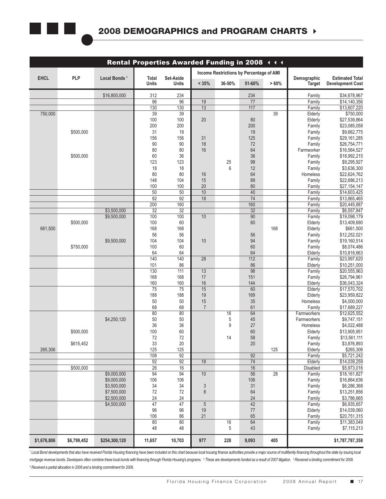

|             |             |                            |                 | Rental Properties Awarded Funding in 2008 444 |                   |                 |                                          |          |                       |                                                   |
|-------------|-------------|----------------------------|-----------------|-----------------------------------------------|-------------------|-----------------|------------------------------------------|----------|-----------------------|---------------------------------------------------|
|             |             |                            |                 |                                               |                   |                 | Income Restrictions by Percentage of AMI |          |                       |                                                   |
| EHCL        | PLP         | Local Bonds <sup>1</sup>   | Total<br>Units  | Set-Aside<br><b>Units</b>                     | < 35%             | 36-50%          | 51-60%                                   | $> 60\%$ | Demographic<br>Target | <b>Estimated Total</b><br><b>Development Cost</b> |
|             |             | \$16,800,000               | 312             | 234                                           |                   |                 | 234                                      |          | Family                | \$34,678,967                                      |
|             |             |                            | $\overline{96}$ | 96                                            | 19                |                 | 77                                       |          | Family                | \$14,140,356                                      |
|             |             |                            | 130             | 130                                           | 13                |                 | 117                                      |          | Family                | \$13,607,220                                      |
| 750,000     |             |                            | 39<br>100       | 39<br>100                                     | 20                |                 | 80                                       | 39       | Elderly<br>Elderly    | \$750,000<br>\$27,539,864                         |
|             |             |                            | 200             | 200                                           |                   |                 | 200                                      |          | Family                | \$23,085,058                                      |
|             | \$500,000   |                            | 31              | 19                                            |                   |                 | $19$                                     |          | Family                | \$9,662,775                                       |
|             |             |                            | 156             | 156                                           | 31                |                 | 125                                      |          | Family                | \$29,161,285                                      |
|             |             |                            | $90\,$<br>80    | 90<br>80                                      | 18<br>16          |                 | $72\,$<br>64                             |          | Family<br>Farmworker  | \$26,754,771<br>\$16,564,527                      |
|             | \$500,000   |                            | 60              | 36                                            |                   |                 | $36\,$                                   |          | Family                | \$18,992,215                                      |
|             |             |                            | 123             | 123                                           |                   | $25\,$          | $98\,$                                   |          | Family                | \$9,295,927                                       |
|             |             |                            | $18$            | 18                                            |                   | 6               | 12                                       |          | Family                | \$3,636,300                                       |
|             |             |                            | 80              | 80                                            | 16                |                 | 64                                       |          | Homeless              | \$22,624,762                                      |
|             |             |                            | 148<br>100      | 104<br>100                                    | 15<br>20          |                 | 89<br>80                                 |          | Family<br>Family      | \$22,686,213<br>\$27,154,147                      |
|             |             |                            | 50              | $50\,$                                        | 10                |                 | 40                                       |          | Family                | \$14,603,425                                      |
|             |             |                            | 92              | 92                                            | 18                |                 | 74                                       |          | Family                | \$13,865,465                                      |
|             |             | \$3,500,000                | 200<br>32       | 160<br>32                                     |                   |                 | 160<br>32                                |          | Family<br>Family      | \$20,445,887<br>\$6,557,847                       |
|             |             | \$9,500,000                | 100             | 100                                           | 10                |                 | 90                                       |          | Family                | \$19,098,179                                      |
|             | \$500,000   |                            | 100             | 60                                            |                   |                 | $60\,$                                   |          | Elderly               | \$13,409,690                                      |
| 661,500     |             |                            | 168             | 168                                           |                   |                 |                                          | 168      | Elderly               | \$661,500                                         |
|             |             | \$9,500,000                | 56<br>104       | 56<br>104                                     | 10                |                 | $56\,$<br>94                             |          | Family<br>Family      | \$12,252,021<br>\$19,160,514                      |
|             | \$750,000   |                            | 100             | 60                                            |                   |                 | 60                                       |          | Family                | \$8,074,486                                       |
|             |             |                            | 64              | 64                                            |                   |                 | 64                                       |          | Elderly               | \$10,818,663                                      |
|             |             |                            | 140             | 140                                           | 28                |                 | 112                                      |          | Family                | \$23,997,620                                      |
|             |             |                            | 101<br>130      | 86<br>111                                     | 13                |                 | 86<br>98                                 |          | Elderly<br>Family     | \$10,251,000<br>\$20,555,963                      |
|             |             |                            | 168             | 168                                           | 17                |                 | 151                                      |          | Family                | \$26,794,961                                      |
|             |             |                            | 160             | 160                                           | 16                |                 | 144                                      |          | Elderly               | \$36,043,324                                      |
|             |             |                            | 75              | 75                                            | 15                |                 | 60                                       |          | Elderly               | \$17,570,702                                      |
|             |             |                            | 188<br>50       | 188<br>50                                     | 19<br>15          |                 | 169<br>$35\,$                            |          | Elderly<br>Homeless   | \$23,959,822<br>\$4,000,000                       |
|             |             |                            | 68              | 68                                            | $\overline{7}$    |                 | 61                                       |          | Family                | \$17,689,227                                      |
|             |             |                            | 80              | 80                                            |                   | 16              | 64                                       |          | Farmworkers           | \$12,625,552                                      |
|             |             | \$4,250,120                | $50\,$<br>36    | $50\,$                                        |                   | $\sqrt{5}$<br>9 | $45\,$<br>$27\,$                         |          | Farmworkers           | \$9,747,151                                       |
|             | \$500,000   |                            | 100             | $36\,$<br>$60\,$                              |                   |                 | 60                                       |          | Homeless<br>Elderly   | \$4,022,488<br>\$13,905,951                       |
|             |             |                            | 72              | 72                                            |                   | 14              | 58                                       |          | Family                | \$13,561,111                                      |
|             | \$615,452   |                            | 33              | 20                                            |                   |                 | 20                                       |          | Family                | \$3,876,893                                       |
| 265,306     |             |                            | 125<br>108      | 125<br>92                                     |                   |                 | 92                                       | 125      | Elderly<br>Family     | \$265,306<br>\$5,721,242                          |
|             |             |                            | 92              | 92                                            | 18                |                 | 74                                       |          | Elderly               | \$14,039,259                                      |
|             | \$500,000   |                            | 26              | 16                                            |                   |                 | 16                                       |          | Disabled              | \$5,973,016                                       |
|             |             | \$9,000,000                | 94              | 94                                            | 10 <sup>1</sup>   |                 | 56                                       | 28       | Family                | \$18,161,827                                      |
|             |             | \$9,000,000<br>\$3,500,000 | 106<br>34       | 106<br>34                                     |                   |                 | 106<br>31                                |          | Family                | \$16,864,636<br>\$6,286,368                       |
|             |             | \$7,500,000                | 72              | 72                                            | $\mathbf{3}$<br>8 |                 | 64                                       |          | Family<br>Family      | \$13,251,856                                      |
|             |             | \$2,500,000                | 24              | 24                                            |                   |                 | 24                                       |          | Family                | \$3,786,665                                       |
|             |             | \$4,500,000                | 47              | 47                                            | $5\overline{)}$   |                 | 42                                       |          | Family                | \$6,935,657                                       |
|             |             |                            | 96              | 96                                            | 19                |                 | 77                                       |          | Elderly               | \$14,039,060                                      |
|             |             |                            | 106<br>80       | 86<br>80                                      | 21                | 16              | 65<br>64                                 |          | Family<br>Family      | \$20,751,315<br>\$11,383,049                      |
|             |             |                            | 48              | 48                                            |                   | 5               | 43                                       |          | Family                | \$7,115,213                                       |
| \$1,676,806 | \$6,799,452 | \$254,300,120              | 11,657          | 10,703                                        | 977               | 228             | 9,093                                    | 405      |                       | \$1,787,787,358                                   |

1 Local Bond developments that also have received Florida Housing financing have been included on this chart because local housing finance authorities provide a major source of multifamily financing throughout the state by mortgage revenue bonds. Developers often combine these local bonds with financing through Florida Housing's programs. 2 These are developments funded as a result of 2007 litigation. 3 Received a binding commitment for 2009 *4 Received a partial allocation in 2008 and a binding commitment for 2009.*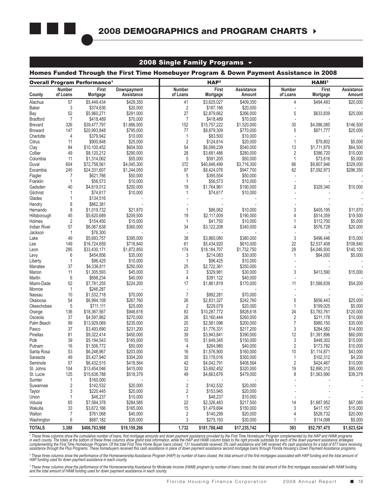

### 2008 Single Family Programs  $\sim$

### Homes Funded Through the First Time Homebuyer Program & Down Payment Assistance in 2008

|                     |                      | <b>Overall Program Performance<sup>1</sup></b> |                            |                     | HAP <sup>2</sup>            |                          | HAMI <sup>3</sup>         |                            |                        |  |  |
|---------------------|----------------------|------------------------------------------------|----------------------------|---------------------|-----------------------------|--------------------------|---------------------------|----------------------------|------------------------|--|--|
| County              | Number<br>of Loans   | First<br>Mortgage                              | Downpayment<br>Assistance  | Number<br>of Loans  | First<br>Mortgage           | Assistance<br>Amount     | <b>Number</b><br>of Loans | First<br>Mortgage          | Assistance<br>Amount   |  |  |
| Alachua             | 57                   | \$5,449,434                                    | \$429,350                  | 41                  | \$3,625,027                 | \$409,350                | 4                         | \$494,493                  | \$20,000               |  |  |
| <b>Baker</b>        | 3                    | \$374,636                                      | \$20,000                   | $\overline{2}$      | \$187,166                   | \$20,000                 |                           |                            |                        |  |  |
| Bay                 | 52                   | \$5,960,271                                    | \$291,000                  | 27                  | \$2,879,662                 | \$266,000                | 5                         | \$633,839                  | \$25,000               |  |  |
| <b>Bradford</b>     | $\overline{7}$       | \$418,489                                      | \$70,000                   | $\overline{7}$      | \$418,489                   | \$70,000                 | ÷,                        |                            |                        |  |  |
| <b>Brevard</b>      | 326                  | \$39,477,797                                   | \$1,666,500                | 152                 | \$15,757,222                | \$1,520,000              | 30                        | \$4,086,085                | \$146,500              |  |  |
| Broward             | 147                  | \$20,993,848                                   | \$795,000                  | 77                  | \$8,879,309                 | \$770,000                | 5                         | \$871,777                  | \$25,000               |  |  |
| Charlotte           | $\overline{4}$       | \$379,942                                      | \$10,000                   | 1                   | \$83,500                    | \$10,000                 | ÷,                        |                            |                        |  |  |
| Citrus              | 11                   | \$900,848                                      | \$25,000                   | $\sqrt{2}$          | \$124,614                   | \$20,000                 | $\mathbf{1}$              | \$79,802                   | \$5,000                |  |  |
| Clay                | 84                   | \$10,100,452                                   | \$604,500                  | 54                  | \$6,099,239                 | \$540,000                | 13                        | \$1,711,879                | \$64,500               |  |  |
| Collier             | 49                   | \$8,120,212                                    | \$290,000                  | 28                  | \$3,681,486                 | \$280,000                | $\overline{\mathbf{c}}$   | \$386,720                  | \$10,000               |  |  |
| Columbia<br>Duval   | 11<br>604            | \$1,314,062                                    | \$55,000                   | $\sqrt{5}$<br>372   | \$591,205                   | \$50,000                 | $\mathbf{1}$<br>66        | \$73,616                   | \$5,000                |  |  |
| Escambia            | 245                  | \$72,758,561<br>\$24,331,607                   | \$4,045,300<br>\$1,244,050 | 97                  | \$40,846,499<br>\$8,424,076 | \$3,716,300<br>\$947,700 | 62                        | \$9,807,946<br>\$7,092,973 | \$329,000<br>\$296,350 |  |  |
| Flagler             | $\overline{7}$       | \$621,766                                      | \$50,000                   | 5                   | \$395,554                   | \$50,000                 | $\overline{a}$            |                            |                        |  |  |
| Franklin            | $\mathbf{1}$         | \$56,573                                       | \$10,000                   | $\mathbf{1}$        | \$56,573                    | \$10,000                 | ÷,                        |                            |                        |  |  |
| Gadsden             | 40                   | \$4,619,012                                    | \$200,000                  | 19                  | \$1,764,961                 | \$190,000                | $\overline{2}$            | \$329,340                  | \$10,000               |  |  |
| Gilchrist           | $\mathbf{1}$         | \$74,617                                       | \$10,000                   | 1                   | \$74,617                    | \$10,000                 | $\overline{a}$            |                            |                        |  |  |
| Glades              | $\mathbf{1}$         | \$134,516                                      |                            |                     |                             |                          |                           |                            |                        |  |  |
| Hendry              | 8                    | \$862,381                                      |                            |                     |                             |                          |                           |                            |                        |  |  |
| Hernando            | 8                    | \$1,019,732                                    | \$21,870                   | 1                   | \$86,062                    | \$10,000                 | 3                         | \$405,195                  | \$11,870               |  |  |
| Hillsborough        | 45                   | \$5,620,689                                    | \$209,500                  | 19                  | \$2,117,009                 | \$190,000                | 4                         | \$514,359                  | \$19,500               |  |  |
| Holmes              | $\sqrt{2}$           | \$154,450                                      | \$15,000                   | $\mathbf{1}$        | \$41,750                    | \$10,000                 |                           | \$112,700                  | \$5,000                |  |  |
| <b>Indian River</b> | 57                   | \$6,067,638                                    | \$360,000                  | 34                  | \$3,122,208                 | \$340,000                | 4                         | \$576,728                  | \$20,000               |  |  |
| Jackson             | $\mathbf{1}$         | \$76,300                                       |                            | ÷,                  |                             |                          |                           |                            |                        |  |  |
| Lake                | 49                   | \$5,693,757                                    | \$395,000                  | 38                  | \$3,860,080                 | \$380,000                | 3                         | \$496,446                  | \$15,000               |  |  |
| Lee                 | 149                  | \$16,724,659                                   | \$718,840                  | 61                  | \$5,434,920                 | \$610,000                | 22                        | \$2,537,408                | \$108,840              |  |  |
| Leon                | 285                  | \$33,430,171                                   | \$1,872,850                | 174                 | \$18,184,707                | \$1,732,750              | 29                        | \$4,046,930                | \$140,100              |  |  |
| Levy                | 6                    | \$454,856                                      | \$35,000                   | 3                   | \$214,083                   | \$30,000                 | $\mathbf{1}$              | \$64,000                   | \$5,000                |  |  |
| Liberty             | $\mathbf{1}$         | \$96,425                                       | \$10,000                   | $\mathbf{1}$        | \$96,425                    | \$10,000                 |                           |                            |                        |  |  |
| Manatee             | 37                   | \$4,336,811                                    | \$250,000                  | 25                  | \$2,722,361                 | \$250,000                |                           |                            |                        |  |  |
| Marion              | 11                   | \$1,305,593                                    | \$45,000                   | $\sqrt{3}$          | \$329,981                   | \$30,000                 | 3                         | \$413,590                  | \$15,000               |  |  |
| Martin              | $\boldsymbol{6}$     | \$698,234                                      | \$40,000                   | $\overline{4}$      | \$391,122                   | \$40,000                 | $\overline{a}$            |                            |                        |  |  |
| Miami-Dade          | 52                   | \$7,781,255                                    | \$224,200                  | 17                  | \$1,861,819                 | \$170,000                | 11                        | \$1,588,639                | \$54,200               |  |  |
| Monroe              | $\mathbf{1}$         | \$246,287                                      |                            | $\overline{7}$      |                             |                          |                           |                            |                        |  |  |
| Nassau<br>Okaloosa  | 10<br>54             | \$1,532,718<br>\$6,994,108                     | \$70,000<br>\$267,760      | 26                  | \$992,281<br>\$2,831,327    | \$70,000<br>\$242,760    | 5                         | \$656,443                  | \$25,000               |  |  |
| Okeechobee          | $\sqrt{5}$           | \$711,111                                      | \$25,000                   | $\overline{2}$      | \$229,079                   | \$20,000                 | $\mathbf{1}$              | \$199,025                  | \$5,000                |  |  |
| Orange              | 136                  | \$18,367,567                                   | \$948,618                  | 83                  | \$10,287,772                | \$828,618                | 24                        | \$3,783,761                | \$120,000              |  |  |
| Osceola             | 37                   | \$4,597,862                                    | \$270,000                  | 26                  | \$3,160,444                 | \$260,000                | $\sqrt{2}$                | \$211,178                  | \$10,000               |  |  |
| Palm Beach          | 99                   | \$13,929,069                                   | \$235,000                  | 20                  | \$2,581,096                 | \$200,000                | $\overline{7}$            | \$980,150                  | \$35,000               |  |  |
| Pasco               | 37                   | \$3,493,690                                    | \$231,200                  | 22                  | \$1,776,331                 | \$217,200                | 3                         | \$284,582                  | \$14,000               |  |  |
| Pinellas            | 81                   | \$9,322,414                                    | \$450,000                  | 39                  | \$3,943,841                 | \$390,000                | 12                        | \$1,391,896                | \$60,000               |  |  |
| Polk                | 39                   | \$5,194,543                                    | \$165,000                  | 15                  | \$1,649,345                 | \$150,000                | 3                         | \$448,302                  | \$15,000               |  |  |
| Putnam              | 16                   | \$1,506,772                                    | \$50,000                   | 4                   | \$264,980                   | \$40,000                 | $\overline{\mathbf{c}}$   | \$173,782                  | \$10,000               |  |  |
| Santa Rosa          | 53                   | \$6,248,967                                    | \$203,000                  | 16                  | \$1,576,900                 | \$160,000                | 10                        | \$1,114,871                | \$43,000               |  |  |
| Sarasota            | 49                   | \$5,427,940                                    | \$304,200                  | 30                  | \$3,178,016                 | \$300,000                | $\mathbf{1}$              | \$102,312                  | \$4,200                |  |  |
| Seminole            | 57                   | \$6,432,515                                    | \$418,564                  | 42                  | \$4,042,791                 | \$408,564                | 2                         | \$424,467                  | \$10,000               |  |  |
| St. Johns           | 104                  | \$13,454,046                                   | \$415,000                  | 32                  | \$3,692,452                 | \$320,000                | 19                        | \$2,890,312                | \$95,000               |  |  |
| St. Lucie           | 125                  | \$15,638,788                                   | \$518,379                  | 49                  | \$4,663,676                 | \$479,000                | 8                         | \$1,063,990                | \$39,379               |  |  |
| Sumter              | $\mathbf{1}$         | \$160,000                                      |                            | $\overline{a}$      |                             |                          |                           |                            |                        |  |  |
| Suwannee            | 2                    | \$142,532                                      | \$20,000                   | $\sqrt{2}$          | \$142,532                   | \$20,000                 |                           |                            |                        |  |  |
| Taylor              | 3                    | \$220,445                                      | \$20,000                   | $\overline{2}$      | \$153,945                   | \$20,000                 |                           |                            |                        |  |  |
| Union               | $\mathbf{1}$         | \$48,237                                       | \$10,000                   | 1                   | \$48,237                    | \$10,000                 |                           |                            |                        |  |  |
| Volusia             | 65                   | \$7,584,378                                    | \$284,585                  | 22                  | \$2,326,483                 | \$217,500                | 14                        | \$1,687,952                | \$67,085               |  |  |
| Wakulla             | 33<br>$\overline{7}$ | \$3,672,166                                    | \$165,000                  | 15                  | \$1,479,694                 | \$150,000                | 3                         | \$417,157                  | \$15,000               |  |  |
| Walton              | 6                    | \$761,068<br>\$687,182                         | \$40,000<br>\$35,000       | $\overline{2}$<br>3 | \$140,299<br>\$275,193      | \$20,000<br>\$30,000     | 4                         | \$528,732                  | \$20,000<br>\$5,000    |  |  |
| Washington          |                      |                                                |                            |                     |                             |                          |                           | \$114,098                  |                        |  |  |
| <b>TOTALS</b>       | 3,388                | \$406,783,998                                  | \$19,159,266               | 1,732               | \$181,788,440               | \$17,235,742             | 393                       | \$52,797,475               | \$1,923,524            |  |  |

<sup>1</sup> These three columns show the cumulative number of loans, first mortgage amounts and down payment assistance provided by the First Time Homebuyer Program complemented by the HAP and HAMI programs<br>in each county. The tot

<sup>2</sup> These three columns show the performance of the Homeownership Assistance Program (HAP) by number of loans closed, the total amount of the first mortgages associated with HAP funding and the total amount of *HAP funding used for down payment assistance in each county.*

<sup>3</sup> These three columns show the performance of the Homeownership Assistance for Moderate Income (HAMI) program by number of loans closed, the total amount of the first mortgages associated with HAMI funding<br>and the total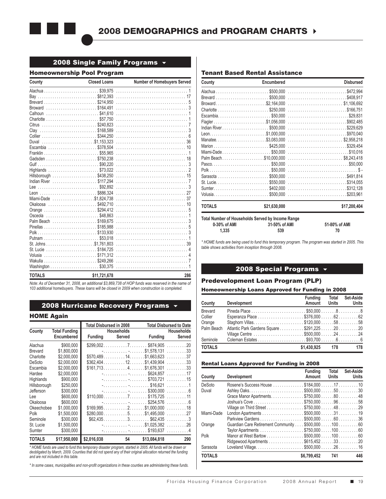

### 2008 Single Family Programs  $\rightarrow$

### Homeownership Pool Program

| County                 | <b>Closed Loans</b> | Number of Homebuyers Served |
|------------------------|---------------------|-----------------------------|
|                        |                     |                             |
| Bay \$812,393          |                     | 17                          |
|                        |                     |                             |
| Broward \$164.491      |                     |                             |
| Calhoun \$41.610       |                     |                             |
| Charlotte  \$57.750    |                     |                             |
| Citrus \$240,823       |                     |                             |
| Clay \$168,589         |                     |                             |
|                        |                     |                             |
| Duval                  |                     |                             |
| Escambia \$378,504     |                     | 10                          |
|                        |                     |                             |
|                        |                     |                             |
|                        |                     |                             |
| Highlands \$73,022     |                     |                             |
|                        |                     |                             |
| Indian River \$117,294 |                     |                             |
|                        |                     |                             |
|                        |                     |                             |
| Miami-Dade \$1,824,738 |                     |                             |
| Okaloosa \$492.710     |                     | 10                          |
|                        |                     |                             |
|                        |                     |                             |
|                        |                     |                             |
|                        |                     |                             |
|                        |                     |                             |
|                        |                     |                             |
|                        |                     |                             |
|                        |                     |                             |
| Volusia                |                     |                             |
|                        |                     |                             |
|                        |                     |                             |
| <b>TOTALS</b>          | \$11,721,678        | 286                         |

*Note: As of December 31, 2008, an additional \$3,869,738 of HOP funds was reserved in the name of 103 additional homebuyers. These loans will be closed in 2009 when construction is completed.*

### 2008 Hurricane Recovery Programs  $\sim$

#### HOME Again

|                |                      | <b>Total Disbursed in 2008</b> |                   |                         | <b>Total Disbursed to Date</b> |
|----------------|----------------------|--------------------------------|-------------------|-------------------------|--------------------------------|
| County         | <b>Total Funding</b> |                                | <b>Households</b> |                         | <b>Households</b>              |
|                | Encumbered           | Funding                        | Served            | Funding                 | Served                         |
| Alachua        | \$900,000            |                                |                   |                         | . 20                           |
| <b>Brevard</b> | \$1.800.000          |                                |                   | $-$ \$1,578,131         | . 33                           |
| Charlotte      | \$2,000,000          |                                |                   |                         | . 37                           |
| DeSoto         | \$2,000,000          |                                |                   |                         | . 33                           |
| Escambia       | \$2,000,000          |                                |                   | \$161,7134\$1,676,301   | . 33                           |
| Hardee         | \$2,000,000          |                                |                   |                         | . 17                           |
| Highlands      | \$900,000            |                                |                   |                         | . 15                           |
| Hillsborough   | \$250,000            |                                |                   |                         | . 1                            |
| Jefferson      | \$300,000            |                                |                   |                         | . 6                            |
| Lee            | \$600,000            |                                |                   |                         | . 11                           |
| Okaloosa       | \$600,000            |                                |                   | $-$ \$254,576           | . 6                            |
| Okeechobee     | \$1.000.000          |                                |                   | \$169.9952\$1,000,000   | . 18                           |
| Polk           | \$1,500,000          |                                |                   | $$280,000$ 5\$1,495,000 | . 27                           |
| Seminole       | \$300,000            |                                |                   | $$62,435$ 3\$62,435     | . 3                            |
| St. Lucie      | \$1,500,000          |                                |                   | $-$ \$1,025,382         | . 26                           |
| Sumter         | \$300,000            |                                |                   | $-$ \$193,637 4         |                                |
| TOTALS         | \$17,950,000         | \$2,016,038                    | 54                | \$13,084,818            | 290                            |

*\* HOME funds are used to fund this temporary disaster program, started in 2005. All funds will be drawn or deobligated by March, 2009. Counties that did not spend any of their original allocation returned the funding and are not included in this table.*

*\* In some cases, municipalities and non-profit organizations in these counties are administering these funds.*

#### Tenant Based Rental Assistance

| County                                                                     | Encumbered           | <b>Disbursed</b>    |
|----------------------------------------------------------------------------|----------------------|---------------------|
|                                                                            |                      |                     |
|                                                                            |                      |                     |
| Broward\$2,164,000                                                         |                      |                     |
|                                                                            |                      |                     |
| Escambia\$50,000                                                           |                      |                     |
|                                                                            |                      |                     |
| Indian River\$500,000                                                      |                      |                     |
|                                                                            |                      |                     |
| Manatee\$3.083.000                                                         |                      |                     |
|                                                                            |                      |                     |
| Miami-Dade\$50,000                                                         |                      |                     |
| Palm Beach\$10,000,000                                                     |                      | \$8,243,418         |
|                                                                            |                      |                     |
|                                                                            |                      |                     |
| Sarasota \$500,000                                                         |                      |                     |
|                                                                            |                      |                     |
|                                                                            |                      |                     |
| Volusia\$500,000                                                           |                      |                     |
| <b>TOTALS</b>                                                              | \$21,630,000         | \$17,200,404        |
| Total Number of Households Served by Income Range<br>0-30% of AMI<br>1.335 | 31-50% of AMI<br>539 | 51-80% of AMI<br>70 |

*\* HOME funds are being used to fund this temporary program. The program was started in 2005. This table shows activities from inception through 2008.*

### 2008 Special Programs  $\sim$

### Predevelopment Loan Program (PLP)

#### Homeownership Loans Approved for Funding in 2008

| County        | <b>Development</b>                           | <b>Fundina</b><br>Amount | Total<br>Units | <b>Set-Aside</b><br><b>Units</b> |
|---------------|----------------------------------------------|--------------------------|----------------|----------------------------------|
| Brevard       |                                              |                          |                |                                  |
| Collier       | Esperanza Place \$376,000 62 62              |                          |                |                                  |
| Orange        | Staghorn Villas\$120,0005858                 |                          |                |                                  |
| Palm Beach    | Atlantic Park Gardens Square \$291,225 20 20 |                          |                |                                  |
|               | Village Centre \$500,0002424                 |                          |                |                                  |
| Seminole      |                                              |                          |                |                                  |
| <b>TOTALS</b> |                                              | \$1.430.925 178          |                | 178                              |

#### Rental Loans Approved for Funding in 2008

| Development<br>County                                         | Amount      | Total<br>Units | Set-Aside<br><b>Units</b> |
|---------------------------------------------------------------|-------------|----------------|---------------------------|
| DeSoto<br>Rosene's Success House \$184,000 17 10              |             |                |                           |
| Duval                                                         |             |                |                           |
| Grace Manor Apartments. \$750,000 80 48                       |             |                |                           |
|                                                               |             |                |                           |
| Village on Third Street \$750,000 48 29                       |             |                |                           |
| Miami-Dade<br>London Apartments \$500,000 31 19               |             |                |                           |
| Parkview Gardens \$500,000 60 36                              |             |                |                           |
| Guardian Care Retirement Community \$500,000 100 60<br>Orange |             |                |                           |
| Taylor Apartments \$750,000 100 60                            |             |                |                           |
| Polk<br>Manor at West Bartow \$500,000 100 60                 |             |                |                           |
| Ridgewood Apartments \$615,452 33 20                          |             |                |                           |
| Loveland Village\$500,0002616<br>Sarasota                     |             |                |                           |
| <b>TOTALS</b>                                                 | \$6,799,452 | 741            | 446                       |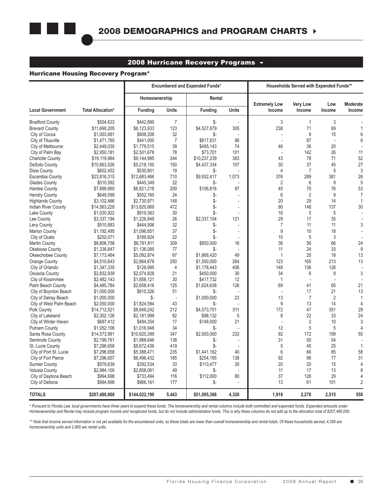

### 2008 Hurricane Recovery Programs  $\sim$

#### Hurricane Housing Recovery Program\*

|                                              |                          |                          |                | <b>Encumbered and Expended Funds*</b> |                | Households Served with Expended Funds** |                 |                |                 |
|----------------------------------------------|--------------------------|--------------------------|----------------|---------------------------------------|----------------|-----------------------------------------|-----------------|----------------|-----------------|
|                                              |                          | Homeownership            |                | Rental                                |                | <b>Extremely Low</b>                    | <b>Very Low</b> | Low            | <b>Moderate</b> |
| <b>Local Government</b>                      | <b>Total Allocation*</b> | <b>Funding</b>           | <b>Units</b>   | Funding                               | <b>Units</b>   | Income                                  | Income          | Income         | Income          |
| <b>Bradford County</b>                       | \$504,633                | \$442,890                | $\overline{7}$ | \$-                                   |                | 3                                       | $\mathbf{1}$    | 3              |                 |
| <b>Brevard County</b>                        | \$11,690,205             | \$6,123,933              | 123            | \$4,527,879                           | 305            | 238                                     | 71              | 69             | 1               |
| City of Cocoa                                | \$1,003,681              | \$908,208                | 32             | \$-                                   |                |                                         | 8               | 15             | 6               |
| City of Titusville                           | \$1,471,765              | \$441,000                | $\overline{7}$ | \$817,831                             | 96             |                                         | 87              | $\overline{a}$ | $6\phantom{a}$  |
| City of Melbourne                            | \$2,449,030              | \$1,779,515              | 39             | \$495,143                             | 74             | 46                                      | 36              | 20             |                 |
| City of Palm Bay                             | \$2,950,181              | \$2,501,678              | 78             | \$73,701                              | 101            |                                         | 142             | 26             | 11              |
| <b>Charlotte County</b>                      | \$19,119,964             | \$9,144,985              | 244            | \$10,237,239                          | 383            | 43                                      | 78              | 71             | 52              |
| <b>DeSoto County</b>                         | \$10,863,526             | \$5,218,150              | 150            | \$4,437,334                           | 107            | 30                                      | 37              | 45             | 27              |
| Dixie County                                 | \$602,452                | \$530,801                | 19             | \$-                                   |                | 4                                       | $\overline{7}$  | 5              | 3               |
| <b>Escambia County</b>                       | \$23,816,315             | \$12,683,466             | 710            | \$9,932,417                           | 1,073          | 376                                     | 289             | 381            | 26              |
| <b>Glades County</b>                         | \$510,592                | \$445,349                | 22             | \$-                                   |                | $\overline{2}$                          | 6               | 9              | 5               |
| <b>Hardee County</b>                         | \$7,899,860              | \$6,821,218              | 200            | \$106,818                             | 87             | 45                                      | 70              | 76             | 53              |
| <b>Hendry County</b>                         | \$649,599                | \$552,160                | 24             | \$-                                   |                | 6                                       | $\overline{2}$  | 9              | $\overline{7}$  |
| <b>Highlands County</b>                      | \$3,102,466              | \$2,730,971              | 148            | \$-                                   | $\frac{1}{2}$  | 20                                      | 29              | 14             | $\mathbf{1}$    |
| <b>Indian River County</b>                   | \$14,563,228             | \$13,820,669             | 472            | \$-                                   | ÷,             | 90                                      | 148             | 137            | 30              |
| Lake County                                  | \$1,030,922              | \$919,363                | 30             | \$-                                   |                | 16                                      | 5               | 5              |                 |
| Lee County                                   | \$3,337,194              | \$1,226,849              | 26             | \$2,337,104                           | 121            | 29                                      | 17              | 35             |                 |
| Levy County                                  | \$510,883                | \$444,506                | 32             | \$-                                   |                | $\overline{7}$                          | 11              | 11             | 3               |
| <b>Marion County</b>                         | \$1,192,495              | \$1,096,651              | 37             | \$-                                   | $\overline{a}$ | 9                                       | 10              | 18             |                 |
| City of Ocala                                | \$202,071                | \$189,924                | 22             | \$-                                   | $\overline{a}$ | 10                                      | 5               | 3              |                 |
| <b>Martin County</b>                         | \$8,806,758              | \$6,791,811              | 309            | \$850,000                             | 16             | 36                                      | 56              | 66             | 24              |
| Okaloosa County                              | \$1,338,847              | \$1,136,085              | 77             | \$-                                   |                | 11                                      | 24              | 33             | 9               |
| Okeechobee County                            | \$7,173,464              | \$5,092,874              | 67             | \$1,868,420                           | 49             | $\mathbf{1}$                            | 25              | 18             | 13              |
| <b>Orange County</b>                         | \$4,510,643              | \$2,864,678              | 250            | \$1,500,000                           | 264            | 123                                     | 165             | 213            | 13              |
| City of Orlando                              | \$1,347,335              | \$128,995                | 4              | \$1,178,443                           | 406            | 148                                     | 136             | 126            |                 |
| Osceola County                               | \$2,832,939              | \$2,074,828              | 21             | \$450.000                             | 30             | 34                                      | 6               | 8              | 3               |
| City of Kissimmee                            | \$2.482.143              | \$1,858,121              | 30             | \$417,732                             | 12             | $\mathbf{1}$                            | ÷,              | $\overline{a}$ |                 |
| Palm Beach County                            | \$4,485,784              | \$2,658,416              | 125            | \$1,624,638                           | 126            | 69                                      | 41              | 65             | 21              |
| City of Boynton Beach                        | \$1,000,000              | \$810,326                | 51             | \$-                                   |                | ÷,                                      | 17              | 21             | 13              |
| City of Delray Beach                         | \$1,000,000              | \$-                      |                | \$1,000,000                           | 23             | 13                                      | $\overline{7}$  | $\overline{2}$ | $\mathbf{1}$    |
|                                              |                          | \$1,824,594              | 43             | \$-                                   |                | 9                                       | 13              | 14             | $\overline{4}$  |
| City of West Palm Beach                      | \$2,050,000              |                          |                |                                       | 511            | 172                                     | 47              |                | 29              |
| Polk County                                  | \$14,712,521             | \$8,949,242              | 212<br>82      | \$4,573,701                           | 5              | 8                                       | 22              | 351<br>33      | 24              |
| City of Lakeland                             | \$2,302,126              | \$2,181,999              | 17             | \$98,132                              | 21             | L.                                      | $\sqrt{2}$      | 10             | 3               |
| City of Winter Haven<br><b>Putnam County</b> | \$697,412                | \$494,354<br>\$1,016,948 | 34             | \$148,000<br>\$-                      |                | 12                                      | 5               | 5              | $\overline{4}$  |
|                                              | \$1,052,106              |                          |                |                                       |                | 92                                      | 172             | 199            |                 |
| Santa Rosa County                            | \$14,573,991             | \$10,620,399             | 347            | \$2,500,000                           | 232            |                                         |                 |                | 50              |
| Seminole County                              | \$2,199,761              | \$1,988,646              | 138            | \$-                                   |                | 31                                      | 50              | 54             |                 |
| St. Lucie County                             | \$7,296,658              | \$8,672,436              | 419            | \$-                                   |                | 5                                       | 45              | 25             | $\mathbf{1}$    |
| City of Port St. Lucie                       | \$7,296,658              | \$5,388,471              | 235            | \$1,441,162                           | 40             | 6                                       | 66              | 85             | 58              |
| City of Fort Pierce                          | \$7,296,657              | \$6,496,432              | 185            | \$254,195                             | 138            | 92                                      | 96              | 77             | 31              |
| <b>Sumter County</b>                         | \$579,639                | \$392,534                | 33             | \$113,477                             | 26             | 20                                      | 20              | 15             | $\overline{4}$  |
| <b>Volusia County</b>                        | \$2,984,100              | \$2,858,061              | 49             | \$-                                   |                | 11                                      | 17              | 13             | 8               |
| City of Daytona Beach                        | \$994,698                | \$733,494                | 116            | \$112,000                             | 80             | 37                                      | 126             | 29             | $\overline{4}$  |
| City of Deltona                              | \$994,698                | \$966,161                | 177            | \$-                                   |                | 13                                      | 61              | 101            | $\sqrt{2}$      |
| <b>TOTALS</b>                                | \$207,480,000            | \$144,022,190            | 5,443          | \$51,095,366                          | 4,326          | 1,918                                   | 2,278           | 2,515          | 550             |

*\* Pursuant to Florida Law, local governments have three years to expend these funds. The homeownership and rental columns include both committed and expended funds. Expended amounts under Homeownership and Rental may include program income and recaptured funds, but do not include administrative funds. This is why these columns do not add up to the allocation total of \$207,480,000.*

\*\* Note that income served information is not yet available for the encumbered units, so these totals are lower than overall homeownership and rental totals. Of these households served, 4,356 are *homeownership units and 2,905 are rental units.*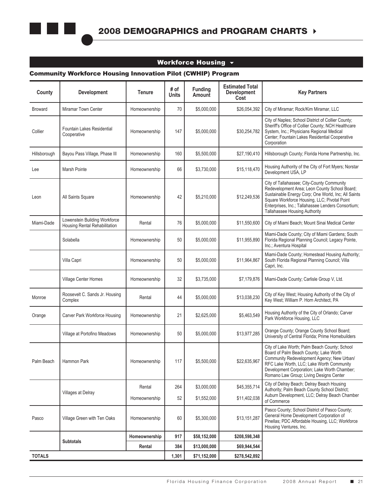### Workforce Housing  $\sim$

### Community Workforce Housing Innovation Pilot (CWHIP) Program

| County         | <b>Development</b>                                             | Tenure        | # of<br><b>Units</b> | <b>Funding</b><br>Amount | <b>Estimated Total</b><br><b>Development</b><br>Cost | <b>Key Partners</b>                                                                                                                                                                                                                                                                       |
|----------------|----------------------------------------------------------------|---------------|----------------------|--------------------------|------------------------------------------------------|-------------------------------------------------------------------------------------------------------------------------------------------------------------------------------------------------------------------------------------------------------------------------------------------|
| <b>Broward</b> | Miramar Town Center                                            | Homeownership | 70                   | \$5,000,000              | \$26,054,392                                         | City of Miramar; Rock/Kim Miramar, LLC                                                                                                                                                                                                                                                    |
| Collier        | <b>Fountain Lakes Residential</b><br>Cooperative               | Homeownership | 147                  | \$5,000,000              | \$30,254,782                                         | City of Naples; School District of Collier County;<br>Sheriff's Office of Collier County; NCH Healthcare<br>System, Inc.; Physicians Regional Medical<br>Center; Fountain Lakes Residential Cooperative<br>Corporation                                                                    |
| Hillsborough   | Bayou Pass Village, Phase III                                  | Homeownership | 160                  | \$5,500,000              | \$27,190,410                                         | Hillsborough County; Florida Home Partnership, Inc.                                                                                                                                                                                                                                       |
| Lee            | Marsh Pointe                                                   | Homeownership | 66                   | \$3,730,000              | \$15,118,470                                         | Housing Authority of the City of Fort Myers; Norstar<br>Development USA, LP                                                                                                                                                                                                               |
| Leon           | All Saints Square                                              | Homeownership | 42                   | \$5,210,000              | \$12,249,536                                         | City of Tallahassee; City-County Community<br>Redevelopment Area; Leon County School Board;<br>Sustainable Energy Corp, One World, Inc, All Saints<br>Square Workforce Housing, LLC; Pivotal Point<br>Enterprises, Inc.; Tallahassee Lenders Consortium;<br>Tallahassee Housing Authority |
| Miami-Dade     | Lowenstein Building Workforce<br>Housing Rental Rehabilitation | Rental        | 76                   | \$5,000,000              | \$11,550,600                                         | City of Miami Beach; Mount Sinai Medical Center                                                                                                                                                                                                                                           |
|                | Solabella                                                      | Homeownership | 50                   | \$5,000,000              | \$11,955,890                                         | Miami-Dade County; City of Miami Gardens; South<br>Florida Regional Planning Council; Legacy Pointe,<br>Inc.; Aventura Hospital                                                                                                                                                           |
|                | Villa Capri                                                    | Homeownership | 50                   | \$5,000,000              | \$11,964,867                                         | Miami-Dade County; Homestead Housing Authority;<br>South Florida Regional Planning Council; Villa<br>Capri, Inc.                                                                                                                                                                          |
|                | Village Center Homes                                           | Homeownership | 32                   | \$3,735,000              | \$7,179,876                                          | Miami-Dade County; Carlisle Group V, Ltd.                                                                                                                                                                                                                                                 |
| Monroe         | Roosevelt C. Sands Jr. Housing<br>Complex                      | Rental        | 44                   | \$5,000,000              | \$13,038,230                                         | City of Key West; Housing Authority of the City of<br>Key West; William P. Horn Architect, PA                                                                                                                                                                                             |
| Orange         | Carver Park Workforce Housing                                  | Homeownership | 21                   | \$2,625,000              | \$5,463,549                                          | Housing Authority of the City of Orlando; Carver<br>Park Workforce Housing, LLC                                                                                                                                                                                                           |
|                | Village at Portofino Meadows                                   | Homeownership | 50                   | \$5,000,000              | \$13,977,285                                         | Orange County; Orange County School Board;<br>University of Central Florida; Prime Homebuilders                                                                                                                                                                                           |
| Palm Beach     | Hammon Park                                                    | Homeownership | 117                  | \$5,500,000              | \$22,635,967                                         | City of Lake Worth; Palm Beach County; School<br>Board of Palm Beach County; Lake Worth<br>Community Redevelopment Agency; New Urban/<br>RFC Lake Worth, LLC, Lake Worth Community<br>Development Corporation; Lake Worth Chamber;<br>Romano Law Group; Living Designs Center             |
|                |                                                                | Rental        | 264                  | \$3,000,000              | \$45,355,714                                         | City of Delray Beach; Delray Beach Housing<br>Authority; Palm Beach County School District;                                                                                                                                                                                               |
|                | Villages at Delray                                             | Homeownership | 52                   | \$1,552,000              | \$11,402,038                                         | Auburn Development, LLC; Delray Beach Chamber<br>of Commerce                                                                                                                                                                                                                              |
| Pasco          | Village Green with Ten Oaks                                    | Homeownership | 60                   | \$5,300,000              | \$13,151,287                                         | Pasco County; School District of Pasco County;<br>General Home Development Corporation of<br>Pinellas; PDC Affordable Housing, LLC; Workforce<br>Housing Ventures, Inc.                                                                                                                   |
|                | <b>Subtotals</b>                                               | Homeownership | 917                  | \$58,152,000             | \$208,598,348                                        |                                                                                                                                                                                                                                                                                           |
|                |                                                                | Rental        | 384                  | \$13,000,000             | \$69,944,544                                         |                                                                                                                                                                                                                                                                                           |
| <b>TOTALS</b>  |                                                                |               | 1,301                | \$71,152,000             | \$278,542,892                                        |                                                                                                                                                                                                                                                                                           |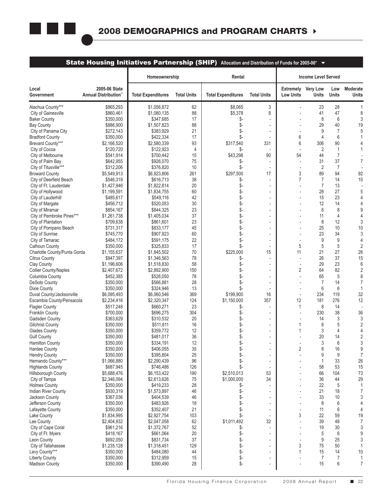

### State Housing Initiatives Partnership (SHIP) Allocation and Distribution of Funds for 2005-06<sup>\*</sup>  $\blacktriangledown$

|                                                    |                                       | Homeownership              |                    | Rental                    |                          |                                               | <b>Income Level Served</b> |                     |                          |
|----------------------------------------------------|---------------------------------------|----------------------------|--------------------|---------------------------|--------------------------|-----------------------------------------------|----------------------------|---------------------|--------------------------|
| Local<br>Government                                | 2005-06 State<br>Annual Distribution" | <b>Total Expenditures</b>  | <b>Total Units</b> | <b>Total Expenditures</b> | <b>Total Units</b>       | <b>Extremely</b> Very Low<br><b>Low Units</b> | Units                      | Low<br><b>Units</b> | Moderate<br><b>Units</b> |
| Alachua County***                                  | \$865,293                             | \$1,056,872                | 62                 | \$8,065                   | 3                        |                                               | 23                         | 28                  | -1                       |
| City of Gainesville                                | \$860,461                             | \$1,080,135                | 88                 | \$5,378                   | 8                        |                                               | 41                         | 47                  | 8                        |
| <b>Baker County</b>                                | \$350,000                             | \$347,685                  | 17                 | \$-                       |                          |                                               | 8                          | 6                   | 3                        |
| <b>Bay County</b>                                  | \$886,900                             | \$1,507,823                | 88                 | \$-                       | $\overline{a}$           |                                               | 29                         | 40                  | 19                       |
| City of Panama City                                | \$272,143                             | \$383,929                  | 21                 | \$-                       | $\overline{\phantom{a}}$ |                                               | 9                          | $\overline{7}$      | 5                        |
| <b>Bradford County</b>                             | \$350,000                             | \$422,334                  | 17                 | \$-                       |                          | 6                                             | 4                          | 6                   | 1                        |
| Brevard County***                                  | \$2,166,520                           | \$2,580,339                | 93                 | \$317,540                 | 331                      | 6                                             | 306                        | 90                  | $\overline{4}$           |
| City of Cocoa                                      | \$120,720                             | \$122,923                  | 4                  |                           | 90                       | 54                                            | $\overline{2}$<br>44       | 1<br>$\overline{7}$ | 1                        |
| City of Melbourne<br>City of Palm Bay              | \$541,914<br>\$642,955                | \$700,442<br>\$926,070     | 15<br>75           | \$43,298                  |                          | $\overline{\phantom{a}}$                      | 31                         | 37                  | $\overline{7}$           |
| City of Titusville***                              | \$312,206                             | \$376,820                  | 10                 | \$-<br>\$-                |                          |                                               | 2                          | 7                   |                          |
| <b>Broward County</b>                              | \$5,549,913                           | \$6,923,806                | 261                | \$297,500                 | 17                       | 3                                             | 89                         | 94                  | 92                       |
| City of Deerfield Beach                            | \$546,319                             | \$616,713                  | 38                 | \$-                       |                          | 7                                             | 7                          | 14                  | 10                       |
| City of Ft. Lauderdale                             | \$1,427,946                           | \$1,822,814                | 20                 | \$-                       | $\overline{a}$           |                                               | $\overline{7}$             | 13                  |                          |
| City of Hollywood                                  | \$1,199,591                           | \$1,834,755                | 60                 | \$-                       | $\overline{\phantom{a}}$ |                                               | 28                         | 27                  | 5                        |
| City of Lauderhill                                 | \$485,617                             | \$549,116                  | 42                 | \$-                       |                          |                                               | 15                         | 23                  | $\overline{4}$           |
| City of Margate                                    | \$456,712                             | \$520,053                  | 30                 | \$-                       | $\overline{a}$           |                                               | 12                         | 14                  | $\overline{4}$           |
| City of Miramar                                    | \$854,167                             | \$844,325                  | 23                 | \$-                       |                          |                                               | 6                          | 8                   | 9                        |
| City of Pembroke Pines***                          | \$1,261,738                           | \$1,405,034                | 37                 | \$-                       |                          |                                               | 11                         | 4                   | $\overline{4}$           |
| City of Plantation                                 | \$709,638                             | \$861,601                  | 23                 | \$-                       | $\overline{\phantom{a}}$ |                                               | 8                          | 12                  | 3                        |
| City of Pompano Beach                              | \$731,317                             | \$833,177                  | 45                 | \$-                       |                          |                                               | 25                         | 10                  | 10                       |
| City of Sunrise                                    | \$745,770                             | \$907,923                  | 60                 | \$-                       | $\overline{\phantom{a}}$ |                                               | 23                         | 34                  | 3                        |
| City of Tamarac                                    | \$484,172                             | \$591,175                  | 22                 | \$-                       |                          |                                               | 9                          | 9                   | $\overline{4}$           |
| Calhoun County                                     | \$350,000                             | \$325,833                  | 17                 | \$-                       |                          | 5                                             | 5                          | 5                   | $\overline{2}$           |
| Charlotte County/Punta Gorda                       | \$1,155,637                           | \$1,845,502                | 70                 | \$225.000                 | 15                       | 11                                            | 21                         | 27                  | 26                       |
| <b>Citrus County</b>                               | \$947,397                             | \$1,346,563                | 78                 | \$-                       |                          |                                               | 26                         | 37                  | 15                       |
| Clay County                                        | \$1,196,606                           | \$1,518,830                | 58                 |                           | $\overline{a}$           | $\overline{\phantom{a}}$                      | 29                         | 23                  | 6                        |
| <b>Collier County/Naples</b>                       | \$2,407,672                           | \$2,892,900                | 150                | \$-                       |                          | 2                                             | 64                         | 82                  | $\overline{2}$           |
| Columbia County                                    | \$452,385                             | \$526,050                  | 78                 | \$-                       | $\overline{a}$           |                                               | 65                         | 5                   | 8                        |
| <b>DeSoto County</b>                               | \$350,000                             | \$566,881                  | 28                 | \$-                       | $\overline{\phantom{a}}$ |                                               | 7                          | 14                  | $\overline{7}$           |
| Dixie County                                       | \$350,000                             | \$324,946                  | 13                 | \$-                       |                          |                                               | 6                          | 6                   | 1                        |
| Duval County/Jacksonville                          | \$6,095,493                           | \$6,060,546                | 369                | \$199,900<br>\$1,150,000  | 16<br>357                | $\overline{\phantom{a}}$                      | 234<br>181                 | 119<br>276          | 32                       |
| Escambia County/Pensacola<br><b>Flagler County</b> | \$2,234,416<br>\$517,248              | \$2,320,347<br>\$660,271   | 124<br>23          | \$-                       |                          | 12<br>1                                       | 8                          | 14                  | 12                       |
| <b>Franklin County</b>                             | \$700,000                             | \$696,275                  | 304                | \$-                       | $\overline{\phantom{a}}$ |                                               | 230                        | 38                  | 36                       |
| <b>Gadsden County</b>                              | \$363,629                             | \$310,532                  | 20                 | \$-                       |                          |                                               | 14                         | 3                   | 3                        |
| <b>Gilchrist County</b>                            | \$350,000                             | \$511,811                  | 16                 |                           | $\overline{\phantom{a}}$ | 1                                             | 8                          | 5                   | $\overline{2}$           |
| <b>Glades County</b>                               | \$350,000                             | \$359,772                  | 12                 | \$-                       |                          | 1                                             | 3                          | 4                   | 4                        |
| <b>Gulf County</b>                                 | \$350,000                             | \$481,017                  | 36                 | \$-                       |                          |                                               | 20                         | 14                  | $\overline{2}$           |
| <b>Hamilton County</b>                             | \$350,000                             | \$334,191                  | 12                 | \$-                       | $\overline{\phantom{a}}$ |                                               | 3                          | 6                   | 3                        |
| <b>Hardee County</b>                               | \$350,000                             | \$406,055                  | 35                 | \$-                       |                          | $\overline{2}$                                | 8                          | 16                  | 9                        |
| <b>Hendry County</b>                               | \$350,000                             | \$395,804                  | 25                 | \$-                       |                          |                                               | 9                          | 9                   | $\overline{7}$           |
| Hernando County***                                 | \$1,066,880                           | \$2,290,439                | 96                 | \$-                       | $\overline{a}$           |                                               | 1                          | 33                  | 26                       |
| <b>Highlands County</b>                            | \$687,945                             | \$746,486                  | 126                | \$-                       |                          |                                               | 58                         | 53                  | 15                       |
| <b>Hillsborough County</b>                         | \$5,688,476                           | \$6,153,422                | 190                | \$2,510,013               | 53                       |                                               | 66                         | 104                 | 73                       |
| City of Tampa                                      | \$2,346,094                           | \$2,613,626                | 75                 | \$1,000,000               | 34                       |                                               | 36                         | 44                  | 29                       |
| <b>Holmes County</b>                               | \$350,000                             | \$419,233                  | 28                 | \$-                       |                          |                                               | 22                         | 5                   | $\mathbf{1}$             |
| Indian River County                                | \$930,319                             | \$1,573,897                | 46                 | \$-                       | ÷,                       |                                               | 21                         | 18                  | $\overline{7}$           |
| Jackson County                                     | \$367,036                             | \$404,539                  | 46                 | \$-                       | ÷,                       |                                               | 33                         | 10                  | 3                        |
| Jefferson County                                   | \$350.000                             | \$483,926                  | 18                 | \$-                       | $\overline{\phantom{a}}$ |                                               | 8                          | 6                   | $\overline{4}$           |
| Lafayette County                                   | \$350,000                             | \$352,407                  | 21                 | \$-                       |                          |                                               | 11                         | 6                   | $\overline{4}$           |
| Lake County                                        | \$1,834,995                           | \$2,927,754                | 103                | \$-                       | $\overline{\phantom{a}}$ | 3                                             | 22                         | 59                  | 19                       |
| Lee County                                         | \$2,404,932                           | \$2,047,058<br>\$1,372,767 | 62<br>52           | \$1,011,492               | 32                       |                                               | 39<br>19                   | 48<br>30            | $\overline{7}$<br>3      |
| City of Cape Coral<br>City of Ft. Myers            | \$961,216<br>\$418,167                | \$661,064                  | 20                 | \$-<br>\$-                | $\overline{a}$           |                                               | 5                          | 6                   | 9                        |
| Leon County                                        | \$692,050                             | \$831,734                  | 37                 | \$-                       |                          |                                               | 9                          | 25                  | 3                        |
| City of Tallahassee                                | \$1,235,128                           | \$1,318,451                | 129                | \$-                       | $\overline{a}$           | 3                                             | 75                         | 50                  | $\mathbf{1}$             |
| Levy County***                                     | \$350,000                             | \$484,080                  | 44                 | \$-                       | ÷,                       | 1                                             | 15                         | 14                  | 10                       |
| <b>Liberty County</b>                              | \$350,000                             | \$312,959                  | 15                 | \$-                       | $\overline{\phantom{a}}$ |                                               | $\overline{7}$             | $\overline{7}$      | $\mathbf{1}$             |
| Madison County                                     | \$350,000                             | \$390,490                  | 28                 | \$-                       | $\overline{\phantom{a}}$ |                                               | 15                         | 6                   | $\overline{7}$           |
|                                                    |                                       |                            |                    |                           |                          |                                               |                            |                     |                          |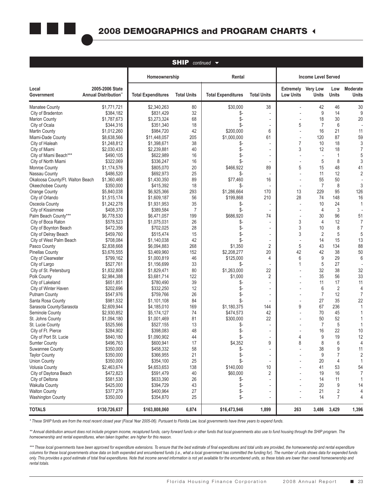

|                                         |                                         |                           | <b>SHIP</b>        | $continued \rightarrow$   |                          |                                      |                                 |                     |                      |
|-----------------------------------------|-----------------------------------------|---------------------------|--------------------|---------------------------|--------------------------|--------------------------------------|---------------------------------|---------------------|----------------------|
|                                         |                                         | Homeownership             |                    | Rental                    |                          | <b>Income Level Served</b>           |                                 |                     |                      |
| Local<br>Government                     | 2005-2006 State<br>Annual Distribution" | <b>Total Expenditures</b> | <b>Total Units</b> | <b>Total Expenditures</b> | <b>Total Units</b>       | <b>Extremely</b><br><b>Low Units</b> | <b>Very Low</b><br><b>Units</b> | Low<br><b>Units</b> | Moderate<br>Units    |
| <b>Manatee County</b>                   | \$1,771,721                             | \$2,340,263               | 80                 | \$30,000                  | 38                       | $\overline{\phantom{a}}$             | 42                              | 46                  | 30                   |
| City of Bradenton                       | \$384,182                               | \$831,429                 | 32                 | \$-                       |                          |                                      | 9                               | 14                  | 9                    |
| <b>Marion County</b>                    | \$1,787,673                             | \$3,273,324               | 68                 | \$-                       | $\overline{\phantom{a}}$ |                                      | 18                              | 30                  | 20                   |
| City of Ocala                           | \$344,316                               | \$351,340                 | 18                 | \$-                       |                          | 5                                    | $\overline{7}$                  | 6                   |                      |
| <b>Martin County</b>                    | \$1,012,260                             | \$984.720                 | 42                 | \$200,000                 | 6                        |                                      | 16                              | 21                  | 11                   |
| Miami-Dade County                       | \$8,638,566                             | \$11,448,057              | 205                | \$1,000,000               | 61                       |                                      | 120                             | 87                  | 59                   |
| City of Hialeah                         | \$1,248,812                             | \$1,398,671               | 38                 | \$-                       |                          | 7                                    | 10                              | 18                  | 3                    |
| City of Miami                           | \$2,030,433                             | \$2,239,881               | 40                 | \$-                       | $\overline{\phantom{a}}$ | 3                                    | 12                              | 18                  | $\overline{7}$       |
| City of Miami Beach***                  | \$490,105                               | \$622,989                 | 16                 | \$-                       |                          |                                      |                                 | 1                   | 5                    |
| City of North Miami                     | \$322,069                               | \$336,247                 | 16                 | \$-                       |                          |                                      | 5                               | 8                   | 3                    |
| Monroe County                           | \$1,174,576                             | \$805,070                 | 20                 | \$466,922                 | 89                       | 5                                    | 15                              | 48                  | 41                   |
| Nassau County                           | \$486,520                               | \$692,973                 | 25                 | \$-                       |                          |                                      | 11                              | 12                  | $\overline{2}$       |
| Okaloosa County/Ft. Walton Beach        | \$1,360,468                             | \$1,430,350               | 89<br>18           | \$77,460                  | 16                       |                                      | 55<br>$\overline{7}$            | 50<br>8             | 3                    |
| Okeechobee County<br>Orange County      | \$350,000<br>\$5,840,038                | \$415,392<br>\$6,925,366  | 293                | \$-<br>\$1,286.664        | 170                      | 13                                   | 229                             | 95                  | 126                  |
| City of Orlando                         | \$1,515,174                             | \$1,609,187               | 56                 | \$199,868                 | 210                      | 28                                   | 74                              | 148                 | 16                   |
| Osceola County                          | \$1,242,278                             | \$1,931,953               | 35                 | \$-                       |                          |                                      | 10                              | 24                  | 1                    |
| City of Kissimmee                       | \$408,370                               | \$389,584                 | $\overline{7}$     | \$-                       |                          |                                      | 4                               | 3                   |                      |
| Palm Beach County***                    | \$6,778,530                             | \$6,471,057               | 199                | \$686,920                 | 74                       |                                      | 30                              | 96                  | 51                   |
| City of Boca Raton                      | \$578,523                               | \$1,075,031               | 26                 | \$-                       |                          | 3                                    | 4                               | 12                  | 7                    |
| City of Boynton Beach                   | \$472,356                               | \$702,025                 | 28                 | \$-                       | $\overline{\phantom{a}}$ | 3                                    | 10                              | 8                   | 7                    |
| City of Delray Beach                    | \$459,760                               | \$515,474                 | 15                 |                           |                          | 3                                    | $\overline{2}$                  | 5                   | 5                    |
| City of West Palm Beach                 | \$708,084                               | \$1,140,038               | 42                 | \$-                       | $\overline{\phantom{a}}$ | $\overline{\phantom{a}}$             | 14                              | 15                  | 13                   |
| Pasco County                            | \$2,838,668                             | \$6,094,883               | 268                | \$1,350                   | $\overline{2}$           | 5                                    | 43                              | 134                 | 88                   |
| <b>Pinellas County</b>                  | \$3,676,555                             | \$3,469,960               | 152                | \$2,208,277               | 20                       | 42                                   | 42                              | 38                  | 50                   |
| City of Clearwater                      | \$799,162                               | \$1,000,819               | 46                 | \$125,000                 | 4                        | 6                                    | 9                               | 29                  | 6                    |
| City of Largo                           | \$527,761                               | \$1,156,699               | 33                 | \$-                       |                          | 1                                    | 5                               | 27                  |                      |
| City of St. Petersburg                  | \$1,832,808                             | \$1,829,471               | 80                 | \$1,263,000               | 22                       |                                      | 32                              | 38                  | 32                   |
| Polk County                             | \$2,984,388                             | \$3,681,714               | 122                | \$1,000                   | $\overline{2}$           |                                      | 35                              | 56                  | 33                   |
| City of Lakeland                        | \$651,851                               | \$780,490                 | 39                 | \$-                       |                          |                                      | 11                              | 17                  | 11                   |
| City of Winter Haven                    | \$202,696                               | \$332,250                 | 12                 | \$-                       | $\overline{a}$           |                                      | 6                               | $\overline{2}$      | $\overline{4}$       |
| <b>Putnam County</b>                    | \$547,976                               | \$759,766                 | 26                 | \$-                       |                          |                                      | $\overline{7}$                  | 12                  | $\overline{7}$       |
| Santa Rosa County                       | \$981,532                               | \$1,101,108               | 84                 | \$-                       |                          |                                      | 27                              | 35                  | 22                   |
| Sarasota County/Sarasota                | \$2,609,944                             | \$4,185,010               | 169                | \$1,180,375               | 144                      | 9                                    | 67                              | 236                 | 1                    |
| Seminole County                         | \$2,930,852                             | \$5,174,127               | 74                 | \$474,573                 | 42                       |                                      | 70                              | 45                  | 1                    |
| St. Johns County                        | \$1,094,180                             | \$1,001,469               | 81                 | \$300,000                 | 22                       |                                      | 50                              | 52                  |                      |
| St. Lucie County                        | \$525,566                               | \$527,155                 | 13                 | \$-                       |                          |                                      | 7                               | 5                   | 1                    |
| City of Ft. Pierce                      | \$284,902                               | \$398,083                 | 48                 | \$-                       | $\overline{\phantom{a}}$ |                                      | 16                              | 22                  | 10                   |
| City of Port St. Lucie                  | \$840,180                               | \$1,090,902               | 44                 | \$-                       |                          | 4                                    | 9                               | 19                  | 12<br>$\overline{4}$ |
| Sumter County                           | \$496,763                               | \$600,941<br>\$458,332    | 17<br>58           | \$4,352                   | 9                        | 8                                    | 8<br>38                         | 6                   |                      |
| Suwannee County<br><b>Taylor County</b> | \$350,000<br>\$350,000                  | \$366,955                 | 21                 | \$-<br>\$-                |                          |                                      | 9                               | 9<br>7              | 11<br>$\overline{2}$ |
| <b>Union County</b>                     | \$350,000                               |                           | 25                 | \$-                       |                          |                                      | 20                              | 4                   | $\mathbf{1}$         |
| <b>Volusia County</b>                   | \$2,463,674                             | \$354,100<br>\$4,653,653  | 138                | \$140,000                 | 10                       |                                      | 41                              | 53                  | 54                   |
| City of Daytona Beach                   | \$472,823                               | \$591,479                 | 40                 | \$60,000                  | 2                        |                                      | 19                              | 16                  | 7                    |
| City of Deltona                         | \$581,530                               | \$633,390                 | 26                 | \$-                       |                          |                                      | 14                              | 11                  | 1                    |
| <b>Wakulla County</b>                   | \$425,000                               | \$394,729                 | 43                 | \$-                       |                          |                                      | 20                              | 9                   | 14                   |
| <b>Walton County</b>                    | \$377,279                               | \$400,964                 | 27                 | \$-                       | $\blacksquare$           |                                      | 21                              | $\overline{2}$      | 4                    |
| <b>Washington County</b>                | \$350,000                               | \$354,870                 | 25                 | \$-                       |                          |                                      | 14                              | $\overline{7}$      | 4                    |
| <b>TOTALS</b>                           | \$130,726,637                           | \$163,808,060             | 6,874              | \$16,473,946              | 1,899                    | 263                                  | 3,486                           | 3,429               | 1,396                |

*\* These SHIP funds are from the most recent closed year (Fiscal Year 2005-06). Pursuant to Florida Law, local governments have three years to expend funds.*

*\*\* Annual distribution amount does not include program income, recaptured funds, carry forward funds or other funds that local governments also use to fund housing through the SHIP program. The homeownership and rental expenditures, when taken together, are higher for this reason.*

\*\*\* These local governments have been approved for expenditure extensions. To ensure that the best estimate of final expenditures and total units are provided, the homeownership and rental expenditure columns for these local governments show data on both expended and encumbered funds (i.e., what a local government has committed the funding for). The number of units shows data for expended funds *only. This provides a good estimate of total final expenditures. Note that income served information is not yet available for the encumbered units, so these totals are lower than overall homeownership and rental totals.*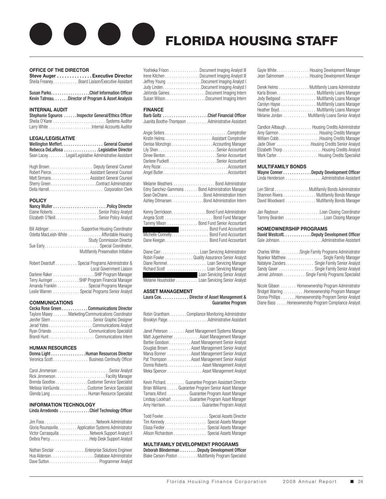# FLORIDA HOUSING STAFF

#### **OFFICE OF THE DIRECTOR**

**Steve Auger . . . . . . . . . . . . . Executive Director** Sheila Freaney. . . . . . . . . . . . . Board Liaison/Executive Assistant

| Susan Parks. Chief Information Officer              |
|-----------------------------------------------------|
| Kevin Tatreau. Director of Program & Asset Analysis |

#### **INTERNAL AUDIT**

| Stephanie Sgouros Inspector General/Ethics Officer |
|----------------------------------------------------|
|                                                    |
|                                                    |

#### **LEGAL/LEGISLATIVE**

| Wellington MeffertGeneral Counsel                     |  |
|-------------------------------------------------------|--|
| Rebecca DeLaRosa Legislative Director                 |  |
| Sean Lacey Legal/Legislative Administrative Assistant |  |

| Robert Pierce. Assistant General Counsel |
|------------------------------------------|
| Matt Sirmans Assistant General Counsel   |
|                                          |
|                                          |

#### **POLICY**

| Bill AldingerSupportive Housing Coordinator                                   |
|-------------------------------------------------------------------------------|
| Odetta MacLeish-White  Affordable Housing<br><b>Study Commission Director</b> |
| Sue Early Special Coordinator,                                                |
| <b>Multifamily Preservation Initiative</b>                                    |
| Robert Dearduff Special Programs Administrator &                              |
| Local Government Liaison                                                      |
| Darlene Raker SHIP Program Manager                                            |
| Terry Auringer SHIP Program Financial Manager                                 |
| Amanda Franklin Special Programs Manager                                      |
| Leslie Warren Special Programs Senior Analyst                                 |

#### **COMMUNICATIONS**

| Cecka Rose Green Communications Director           |
|----------------------------------------------------|
| Taylore Maxey Marketing/Communications Coordinator |
| Jenifer Stern Senior Graphic Designer              |
|                                                    |
| Ryan OrlandoCommunications Specialist              |
| Brandi HuntCommunications Intern                   |

#### **HUMAN RESOURCES**

| Donna Light Human Resources Director         |
|----------------------------------------------|
| Veronica Scott Business Continuity Officer   |
|                                              |
|                                              |
| Rick Jimmerson Facility Manager              |
| Brenda Goodloe Customer Service Specialist   |
| Melissa VanGunda Customer Service Specialist |

| Brenda Goodloe Customer Service Specialist  |  |
|---------------------------------------------|--|
| Melissa VanGundaCustomer Service Specialist |  |
| Glenda Lang Human Resource Specialist       |  |

#### **INFORMATION TECHNOLOGY**

#### Linda Arredondo . . . . . . . . . . . . . .Chief Technology Officer

| Gloria Rounsaville. Application Systems Administrator<br>Victor Carrasquilla Network Support Analyst II<br>Delbra Percy Help Desk Support Analyst |
|---------------------------------------------------------------------------------------------------------------------------------------------------|
| Nathan Sinclair Enterprise Solutions Engineer<br>Hua AldersonDatabase Administrator                                                               |

| Yoshieka Frison Document Imaging Analyst III |
|----------------------------------------------|
| Irene Kitchen Document Imaging Analyst III   |
| Jeffrey Young Document Imaging Analyst I     |
| Judy Linden. Document Imaging Analyst I      |
| JaVonda GainesDocument Imaging Intern        |
| Susan WilsonDocument Imaging Intern          |

#### **FINANCE**

| Barb Goltz Chief Financial Officer               |  |
|--------------------------------------------------|--|
| Juanita Boothe-Thompson Administrative Assistant |  |

| Denise Monzingo Accounting Manager<br>Darlene PuckettSenior Accountant                                                                                                                                                                                      |
|-------------------------------------------------------------------------------------------------------------------------------------------------------------------------------------------------------------------------------------------------------------|
| Melanie Weathers Bond Administrator<br>Edny Sanchez-Gammons Bond Administration Manager<br>Sean DeChane. Bond Administration Intern<br>Ashley Ditmarsen. Bond Administration Intern                                                                         |
| Kenny Derrickson. Bond Fund Administrator<br>Tammy Mixon Bond Fund Senior Accountant<br>Bond Fund Accountant<br>Michelle Connelly. Bond Fund Accountant                                                                                                     |
| Diane CarrLoan Servicing Administrator<br>Robin Fowler Quality Assurance Senior Analyst<br>Diane Rommel Loan Servicing Manager<br>Richard Scott Loan Servicing Manager<br>Loan Servicing Senior Analyst<br>Melanie Housholder Loan Servicing Senior Analyst |

#### **ASSET MANAGEMENT**

| Laura Cox. Director of Asset Management & |
|-------------------------------------------|
| <b>Guarantee Program</b>                  |

| Robin Grantham. Compliance Monitoring Administrator                                                                                                                                                                                                                                                                                                                                |
|------------------------------------------------------------------------------------------------------------------------------------------------------------------------------------------------------------------------------------------------------------------------------------------------------------------------------------------------------------------------------------|
| Janet Peterson Asset Management Systems Manager<br>Matt Jugenheimer Asset Management Manager<br>Barbie Goodson Asset Management Senior Analyst<br>Douglas Brown Asset Management Senior Analyst<br>Marva Bonner Asset Management Senior Analyst<br>Pat Thompson Asset Management Senior Analyst<br>Donna Roberts Asset Management Analyst<br>Meka Spencer Asset Management Analyst |
| Kevin Pichard. Guarantee Program Assistant Director<br>Brian Williams Guarantee Program Senior Asset Manager<br>Tamara Alford Guarantee Program Asset Manager<br>Lindsay Lockhart Guarantee Program Asset Manager<br>Amy Harrison. Guarantee Program Analyst                                                                                                                       |
| Tim Kennedy Special Assets Manager<br>Elissa Fiedler Special Assets Manager<br>Allison Richardson Special Assets Manager                                                                                                                                                                                                                                                           |
| <b>MULTIFAMILY DEVELOPMENT PROGRAMS</b><br>Debarah Plinderman Deputy Development Officer                                                                                                                                                                                                                                                                                           |

Deborah Blinderman . . . . . . . . Deputy Development Officer Blake Carson-Poston . . . . . . . . . Multifamily Program Specialist

| Gayle White    | . Housing Development Manager |
|----------------|-------------------------------|
| Jean Salmonsen | . Housing Development Manager |

|  | Derek Helms Multifamily Loans Administrator     |
|--|-------------------------------------------------|
|  | Karla Brown. Multifamily Loans Manager          |
|  | Jody Bedgood Multifamily Loans Manager          |
|  | Carolyn Hayse Multifamily Loans Manager         |
|  | Heather Boyd. Multifamily Loans Manager         |
|  | Melanie Jordan Multifamily Loans Senior Analyst |

| Candice Allbaugh Housing Credits Administrator |  |
|------------------------------------------------|--|
|                                                |  |
|                                                |  |
| Jade Oliver Housing Credits Senior Analyst     |  |
| Elizabeth Thorp Housing Credits Analyst        |  |
| Mark CarterBousing Credits Specialist          |  |

#### **MULTIFAMILY BONDS**

|                                                                             | Wayne Conner Deputy Development Officer<br>Linda Henderson Administrative Assistant                                                 |  |
|-----------------------------------------------------------------------------|-------------------------------------------------------------------------------------------------------------------------------------|--|
|                                                                             | Len Stirrat Multifamily Bonds Administrator<br>Shannon Rivera Multifamily Bonds Manager<br>David Woodward Multifamily Bonds Manager |  |
|                                                                             | Jan Rayboun Loan Closing Coordinator<br>Tammy Bearden Loan Closing Manager                                                          |  |
| <b>HOMEOWNERSHIP PROGRAMS</b><br>David Westcott. Deputy Development Officer |                                                                                                                                     |  |

|                  | Charles White Single Family Programs Administrator<br>Nyankor Matthew Single Family Manager |
|------------------|---------------------------------------------------------------------------------------------|
| Natalyne Zanders | Single Family Senior Analyst                                                                |

| $\alpha$ and $\alpha$ and $\alpha$ are $\alpha$ and $\alpha$ are $\alpha$ are $\alpha$ are $\alpha$ and $\alpha$ are $\alpha$ and $\alpha$ are $\alpha$ |  |
|---------------------------------------------------------------------------------------------------------------------------------------------------------|--|
| Natalyne Zanders Single Family Senior Analyst                                                                                                           |  |
| Sandy Gaver Single Family Senior Analyst                                                                                                                |  |
| Jennel Johnson Single Family Programs Specialist                                                                                                        |  |
|                                                                                                                                                         |  |

Nicole Gibson . . . . . . . Homeownership Program Administrator Bridget Warring . . . . . . . . . Homeownership Program Manager Donna Phillips . . . . . . . Homeownership Program Senior Analyst Diane Bass. . Homeownership Program Compliance Analyst